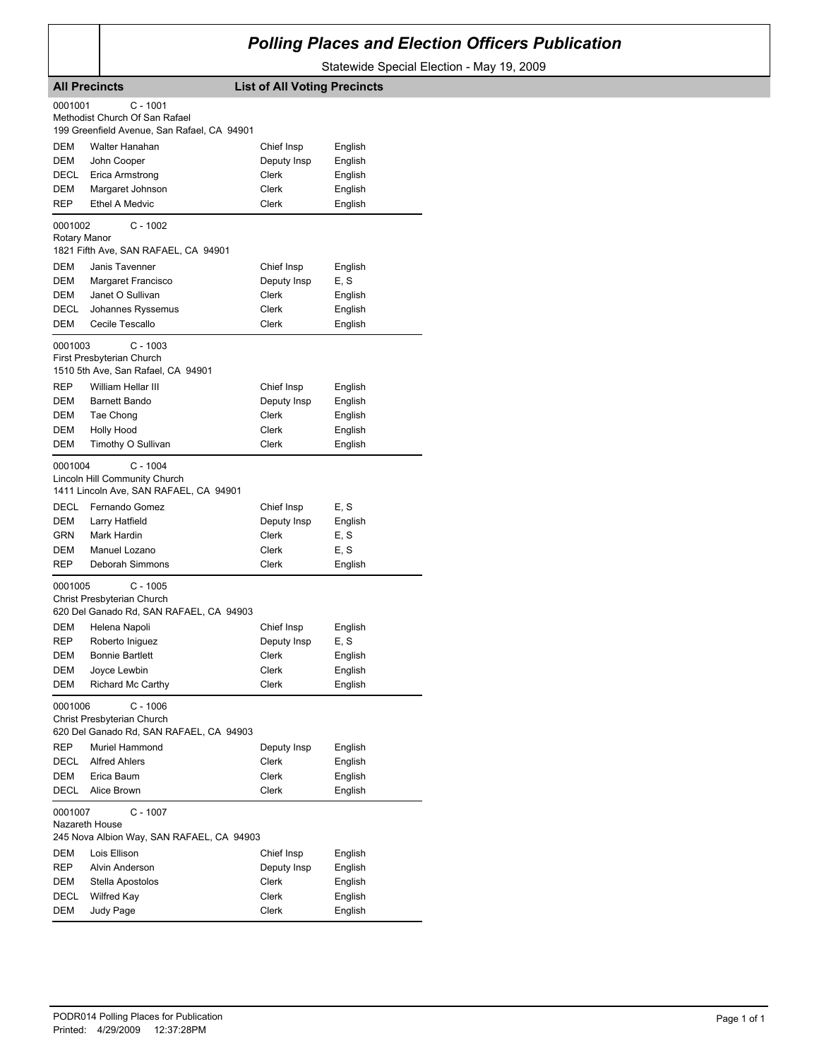## *Polling Places and Election Officers Publication*

Statewide Special Election - May 19, 2009

|                                                | <b>All Precincts</b>                                                                                                                         | <b>List of All Voting Precincts</b>                  |                                                     |
|------------------------------------------------|----------------------------------------------------------------------------------------------------------------------------------------------|------------------------------------------------------|-----------------------------------------------------|
| 0001001                                        | $C - 1001$<br>Methodist Church Of San Rafael                                                                                                 |                                                      |                                                     |
| <b>DEM</b><br>DEM<br>DECL<br>DEM<br><b>REP</b> | 199 Greenfield Avenue, San Rafael, CA 94901<br>Walter Hanahan<br>John Cooper<br>Erica Armstrong<br>Margaret Johnson<br><b>Ethel A Medvic</b> | Chief Insp<br>Deputy Insp<br>Clerk<br>Clerk<br>Clerk | English<br>English<br>English<br>English<br>English |
| 0001002<br>Rotary Manor                        | $C - 1002$<br>1821 Fifth Ave, SAN RAFAEL, CA 94901                                                                                           |                                                      |                                                     |
| DEM<br>DEM<br>DEM<br>DECL<br>DEM               | Janis Tavenner<br>Margaret Francisco<br>Janet O Sullivan<br>Johannes Ryssemus<br>Cecile Tescallo                                             | Chief Insp<br>Deputy Insp<br>Clerk<br>Clerk<br>Clerk | English<br>E, S<br>English<br>English<br>English    |
| 0001003                                        | $C - 1003$<br>First Presbyterian Church<br>1510 5th Ave, San Rafael, CA 94901                                                                |                                                      |                                                     |
| REP<br>DEM<br>DEM<br>DEM<br>DEM                | William Hellar III<br><b>Barnett Bando</b><br>Tae Chong<br><b>Holly Hood</b><br>Timothy O Sullivan                                           | Chief Insp<br>Deputy Insp<br>Clerk<br>Clerk<br>Clerk | English<br>English<br>English<br>English<br>English |
| 0001004                                        | $C - 1004$<br>Lincoln Hill Community Church<br>1411 Lincoln Ave, SAN RAFAEL, CA 94901                                                        |                                                      |                                                     |
| DECL<br>DEM<br>GRN<br>DEM<br>REP               | Fernando Gomez<br>Larry Hatfield<br>Mark Hardin<br>Manuel Lozano<br>Deborah Simmons                                                          | Chief Insp<br>Deputy Insp<br>Clerk<br>Clerk<br>Clerk | E, S<br>English<br>E, S<br>E, S<br>English          |
| 0001005                                        | $C - 1005$<br>Christ Presbyterian Church<br>620 Del Ganado Rd, SAN RAFAEL, CA 94903                                                          |                                                      |                                                     |
| DEM<br>REP<br>DEM<br>DEM<br>DEM                | Helena Napoli<br>Roberto Iniguez<br><b>Bonnie Bartlett</b><br>Joyce Lewbin<br>Richard Mc Carthy                                              | Chief Insp<br>Deputy Insp<br>Clerk<br>Clerk<br>Clerk | English<br>E, S<br>English<br>English<br>English    |
| 0001006                                        | $C - 1006$<br>Christ Presbyterian Church<br>620 Del Ganado Rd, SAN RAFAEL, CA 94903                                                          |                                                      |                                                     |
| REP<br>DECL<br>DEM<br>DECL                     | Muriel Hammond<br><b>Alfred Ahlers</b><br>Erica Baum<br>Alice Brown                                                                          | Deputy Insp<br>Clerk<br>Clerk<br>Clerk               | English<br>English<br>English<br>English            |
| 0001007                                        | $C - 1007$<br>Nazareth House<br>245 Nova Albion Way, SAN RAFAEL, CA 94903                                                                    |                                                      |                                                     |
| DEM<br>REP<br>DEM<br>DECL                      | Lois Ellison<br>Alvin Anderson<br>Stella Apostolos<br><b>Wilfred Kay</b>                                                                     | Chief Insp<br>Deputy Insp<br>Clerk<br>Clerk          | English<br>English<br>English<br>English            |
| DEM                                            | Judy Page                                                                                                                                    | Clerk                                                | English                                             |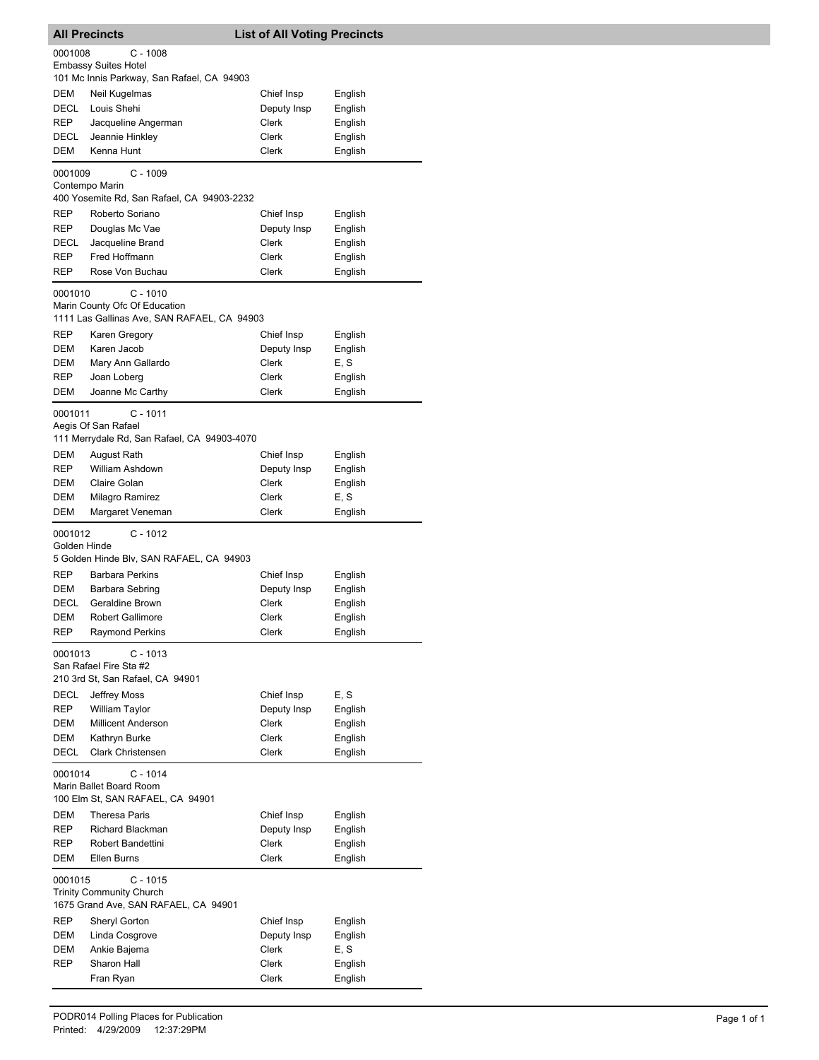|                   | <b>All Precincts</b>                                                                  | <b>List of All Voting Precincts</b> |                    |
|-------------------|---------------------------------------------------------------------------------------|-------------------------------------|--------------------|
| 0001008           | $C - 1008$                                                                            |                                     |                    |
|                   | <b>Embassy Suites Hotel</b><br>101 Mc Innis Parkway, San Rafael, CA 94903             |                                     |                    |
| DEM               | Neil Kugelmas                                                                         | Chief Insp                          | English            |
| DECL              | Louis Shehi                                                                           | Deputy Insp                         | English            |
| <b>REP</b>        | Jacqueline Angerman                                                                   | Clerk                               | English            |
| DECL              | Jeannie Hinkley                                                                       | Clerk                               | English            |
| <b>DEM</b>        | Kenna Hunt                                                                            | Clerk                               | English            |
| 0001009           | $C - 1009$                                                                            |                                     |                    |
|                   | Contempo Marin<br>400 Yosemite Rd, San Rafael, CA 94903-2232                          |                                     |                    |
| <b>REP</b>        | Roberto Soriano                                                                       | Chief Insp                          | English            |
| REP               | Douglas Mc Vae                                                                        | Deputy Insp                         | English            |
| DECL              | Jacqueline Brand                                                                      | Clerk                               | English            |
| REP               | Fred Hoffmann                                                                         | Clerk                               | English            |
| <b>REP</b>        | Rose Von Buchau                                                                       | Clerk                               | English            |
| 0001010           | $C - 1010$                                                                            |                                     |                    |
|                   | Marin County Ofc Of Education                                                         |                                     |                    |
| <b>REP</b>        | 1111 Las Gallinas Ave, SAN RAFAEL, CA 94903<br>Karen Gregory                          | Chief Insp                          | English            |
| DEM               | Karen Jacob                                                                           | Deputy Insp                         | English            |
| DEM               | Mary Ann Gallardo                                                                     | Clerk                               | E, S               |
| REP               | Joan Loberg                                                                           | Clerk                               | English            |
| DEM               | Joanne Mc Carthy                                                                      | Clerk                               | English            |
| 0001011           | $C - 1011$                                                                            |                                     |                    |
|                   | Aegis Of San Rafael                                                                   |                                     |                    |
|                   | 111 Merrydale Rd, San Rafael, CA 94903-4070                                           |                                     |                    |
| DEM<br><b>REP</b> | August Rath<br>William Ashdown                                                        | Chief Insp                          | English            |
| <b>DEM</b>        | Claire Golan                                                                          | Deputy Insp<br>Clerk                | English<br>English |
| DEM               | Milagro Ramirez                                                                       | Clerk                               | E, S               |
| DEM               | Margaret Veneman                                                                      | Clerk                               | English            |
| 0001012           | $C - 1012$                                                                            |                                     |                    |
| Golden Hinde      |                                                                                       |                                     |                    |
|                   | 5 Golden Hinde Blv, SAN RAFAEL, CA 94903                                              |                                     |                    |
| <b>REP</b>        | <b>Barbara Perkins</b>                                                                | Chief Insp                          | English            |
| DEM<br>DECL       | Barbara Sebring<br>Geraldine Brown                                                    | Deputy Insp<br>Clerk                | English<br>English |
| DEM               | <b>Robert Gallimore</b>                                                               | Clerk                               | English            |
| REP               | <b>Raymond Perkins</b>                                                                | Clerk                               | English            |
| 0001013           | $C - 1013$                                                                            |                                     |                    |
|                   | San Rafael Fire Sta #2                                                                |                                     |                    |
|                   | 210 3rd St, San Rafael, CA 94901                                                      |                                     |                    |
| DECL              | Jeffrey Moss                                                                          | Chief Insp                          | E, S               |
| <b>REP</b><br>DEM | William Taylor<br><b>Millicent Anderson</b>                                           | Deputy Insp<br>Clerk                | English<br>English |
| DEM               | Kathryn Burke                                                                         | Clerk                               | English            |
| DECL              | <b>Clark Christensen</b>                                                              | Clerk                               | English            |
| 0001014           | $C - 1014$                                                                            |                                     |                    |
|                   | Marin Ballet Board Room                                                               |                                     |                    |
|                   | 100 Elm St, SAN RAFAEL, CA 94901                                                      |                                     |                    |
| DEM               | Theresa Paris                                                                         | Chief Insp                          | English            |
| <b>REP</b>        | Richard Blackman                                                                      | Deputy Insp                         | English            |
| REP<br>DEM        | Robert Bandettini<br>Ellen Burns                                                      | Clerk<br>Clerk                      | English<br>English |
|                   |                                                                                       |                                     |                    |
| 0001015           | $C - 1015$<br><b>Trinity Community Church</b><br>1675 Grand Ave, SAN RAFAEL, CA 94901 |                                     |                    |
| <b>REP</b>        | Sheryl Gorton                                                                         | Chief Insp                          | English            |
| DEM               | Linda Cosgrove                                                                        | Deputy Insp                         | English            |
| DEM               | Ankie Bajema                                                                          | Clerk                               | E, S               |
| REP               | Sharon Hall                                                                           | Clerk                               | English            |
|                   | Fran Ryan                                                                             | Clerk                               | English            |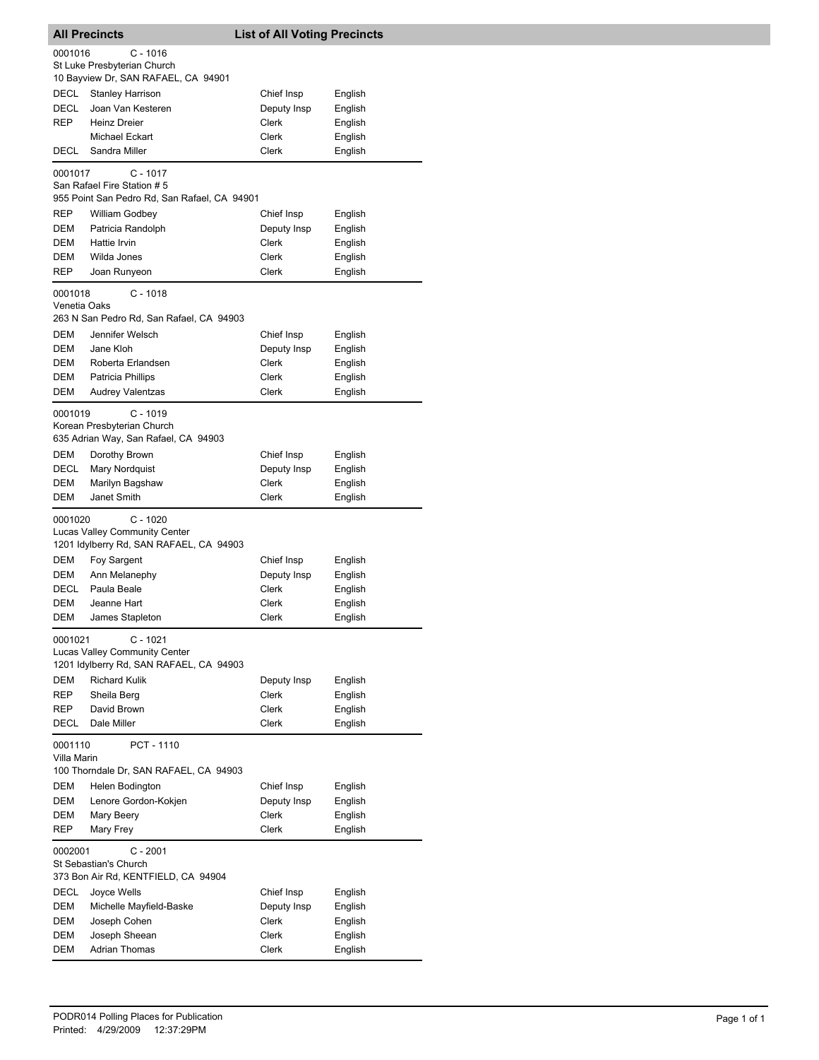|              | <b>All Precincts</b>                                                             | <b>List of All Voting Precincts</b> |         |
|--------------|----------------------------------------------------------------------------------|-------------------------------------|---------|
| 0001016      | $C - 1016$                                                                       |                                     |         |
|              | St Luke Presbyterian Church<br>10 Bayview Dr, SAN RAFAEL, CA 94901               |                                     |         |
| DECL         | <b>Stanley Harrison</b>                                                          | Chief Insp                          | English |
| DECL         | Joan Van Kesteren                                                                | Deputy Insp                         | English |
| REP          | <b>Heinz Dreier</b>                                                              | Clerk                               | English |
|              | Michael Eckart                                                                   | Clerk                               | English |
| DECL         | Sandra Miller                                                                    | Clerk                               | English |
|              |                                                                                  |                                     |         |
| 0001017      | C - 1017<br>San Rafael Fire Station # 5                                          |                                     |         |
|              | 955 Point San Pedro Rd, San Rafael, CA 94901                                     |                                     |         |
| REP          | <b>William Godbey</b>                                                            | Chief Insp                          | English |
| DEM          | Patricia Randolph                                                                | Deputy Insp                         | English |
| <b>DEM</b>   | Hattie Irvin                                                                     | Clerk                               | English |
| DEM          | Wilda Jones                                                                      | Clerk                               | English |
| REP          | Joan Runyeon                                                                     | Clerk                               | English |
| 0001018      | $C - 1018$                                                                       |                                     |         |
| Venetia Oaks |                                                                                  |                                     |         |
|              | 263 N San Pedro Rd, San Rafael, CA 94903                                         |                                     |         |
| DEM          | Jennifer Welsch                                                                  | Chief Insp                          | English |
| DEM          | Jane Kloh                                                                        | Deputy Insp                         | English |
| DEM          | Roberta Erlandsen                                                                | Clerk                               | English |
| DEM          | Patricia Phillips                                                                | Clerk                               | English |
| DEM          | Audrey Valentzas                                                                 | Clerk                               | English |
| 0001019      | $C - 1019$<br>Korean Presbyterian Church<br>635 Adrian Way, San Rafael, CA 94903 |                                     |         |
| DEM          | Dorothy Brown                                                                    | Chief Insp                          | English |
| DECL         | Mary Nordquist                                                                   | Deputy Insp                         | English |
| DEM          | Marilyn Bagshaw                                                                  | Clerk                               | English |
| DEM          | Janet Smith                                                                      | Clerk                               | English |
| 0001020      | $C - 1020$                                                                       |                                     |         |
|              | Lucas Valley Community Center<br>1201 Idylberry Rd, SAN RAFAEL, CA 94903         |                                     |         |
| DEM          | Foy Sargent                                                                      | Chief Insp                          | English |
| DEM          | Ann Melanephy                                                                    | Deputy Insp                         | English |
| DECL         | Paula Beale                                                                      | Clerk                               | English |
| DEM          | Jeanne Hart                                                                      | Clerk                               | English |
| DEM          | James Stapleton                                                                  | Clerk                               | English |
| 0001021      | C - 1021                                                                         |                                     |         |
|              | <b>Lucas Valley Community Center</b><br>1201 Idylberry Rd, SAN RAFAEL, CA 94903  |                                     |         |
| DEM          | <b>Richard Kulik</b>                                                             | Deputy Insp                         | English |
| REP          | Sheila Berg                                                                      | Clerk                               | English |
| REP          | David Brown                                                                      | Clerk                               | English |
| DECL         | Dale Miller                                                                      | Clerk                               | English |
| 0001110      | PCT - 1110                                                                       |                                     |         |
| Villa Marin  | 100 Thorndale Dr, SAN RAFAEL, CA 94903                                           |                                     |         |
| DEM          | Helen Bodington                                                                  | Chief Insp                          | English |
| DEM          | Lenore Gordon-Kokjen                                                             | Deputy Insp                         | English |
| DEM          | Mary Beery                                                                       | Clerk                               | English |
| REP          | Mary Frey                                                                        | Clerk                               | English |
| 0002001      | C - 2001<br>St Sebastian's Church<br>373 Bon Air Rd, KENTFIELD, CA 94904         |                                     |         |
|              |                                                                                  |                                     |         |
| DECL         | Joyce Wells                                                                      | Chief Insp                          | English |
| DEM          | Michelle Mayfield-Baske                                                          | Deputy Insp                         | English |
| DEM<br>DEM   | Joseph Cohen                                                                     | Clerk<br>Clerk                      | English |
| DEM          | Joseph Sheean<br><b>Adrian Thomas</b>                                            | Clerk                               | English |
|              |                                                                                  |                                     | English |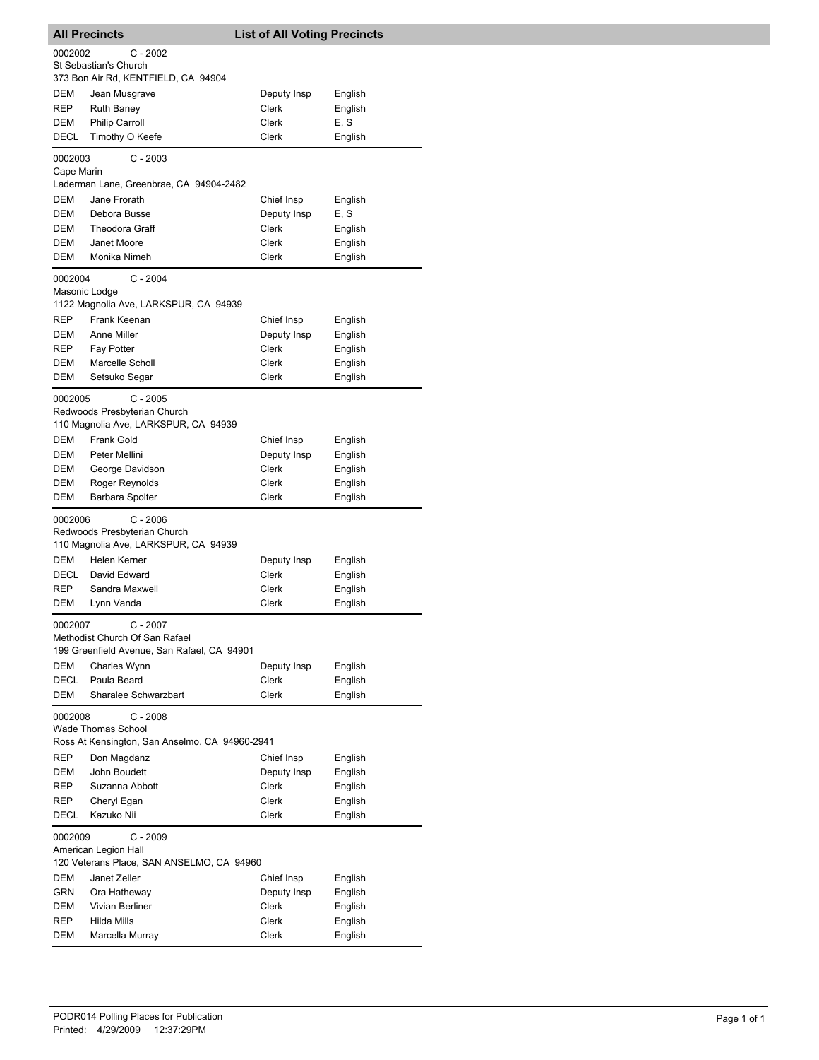|                                             | <b>All Precincts</b>                                                               | <b>List of All Voting Precincts</b> |                    |  |
|---------------------------------------------|------------------------------------------------------------------------------------|-------------------------------------|--------------------|--|
| 0002002                                     | $C - 2002$                                                                         |                                     |                    |  |
|                                             | St Sebastian's Church<br>373 Bon Air Rd, KENTFIELD, CA 94904                       |                                     |                    |  |
| DEM                                         | Jean Musgrave                                                                      | Deputy Insp                         | English            |  |
| REP                                         | <b>Ruth Baney</b>                                                                  | Clerk                               | English            |  |
| DEM                                         | <b>Philip Carroll</b>                                                              | Clerk                               | E, S               |  |
| DECL                                        | Timothy O Keefe                                                                    | Clerk                               | English            |  |
| 0002003                                     | $C - 2003$                                                                         |                                     |                    |  |
| Cape Marin                                  | Laderman Lane, Greenbrae, CA 94904-2482                                            |                                     |                    |  |
| DEM                                         | Jane Frorath                                                                       | Chief Insp                          | English            |  |
| DEM                                         | Debora Busse                                                                       | Deputy Insp                         | E, S               |  |
| DEM                                         | <b>Theodora Graff</b>                                                              | Clerk                               | English            |  |
| DEM                                         | Janet Moore                                                                        | Clerk                               | English            |  |
| DEM                                         | Monika Nimeh                                                                       | Clerk                               | English            |  |
| 0002004                                     | $C - 2004$                                                                         |                                     |                    |  |
| Masonic Lodge                               | 1122 Magnolia Ave, LARKSPUR, CA 94939                                              |                                     |                    |  |
| REP                                         | Frank Keenan                                                                       | Chief Insp                          | English            |  |
| DEM                                         | Anne Miller                                                                        | Deputy Insp                         | English            |  |
| REP                                         | Fay Potter                                                                         | Clerk                               | English            |  |
| DEM                                         | Marcelle Scholl                                                                    | Clerk                               | English            |  |
| <b>DEM</b>                                  | Setsuko Segar                                                                      | Clerk                               | English            |  |
| 0002005                                     |                                                                                    |                                     |                    |  |
|                                             | $C - 2005$<br>Redwoods Presbyterian Church<br>110 Magnolia Ave, LARKSPUR, CA 94939 |                                     |                    |  |
| DEM                                         | Frank Gold                                                                         | Chief Insp                          | English            |  |
| DEM                                         | Peter Mellini                                                                      | Deputy Insp                         | English            |  |
| DEM                                         | George Davidson                                                                    | Clerk                               | English            |  |
| DEM                                         | Roger Reynolds                                                                     | Clerk                               | English            |  |
| DEM                                         | Barbara Spolter                                                                    | Clerk                               | English            |  |
| 0002006                                     | $C - 2006$<br>Redwoods Presbyterian Church<br>110 Magnolia Ave, LARKSPUR, CA 94939 |                                     |                    |  |
| DEM                                         | Helen Kerner                                                                       |                                     |                    |  |
| DECL                                        | David Edward                                                                       | Deputy Insp<br><b>Clerk</b>         | English            |  |
|                                             |                                                                                    |                                     | English            |  |
| REP<br>DEM                                  | Sandra Maxwell<br>Lynn Vanda                                                       | Clerk<br>Clerk                      | English<br>English |  |
| 0002007                                     | $C - 2007$                                                                         |                                     |                    |  |
|                                             | Methodist Church Of San Rafael<br>199 Greenfield Avenue, San Rafael, CA 94901      |                                     |                    |  |
| DEM                                         | Charles Wynn                                                                       | Deputy Insp                         | English            |  |
| DECL                                        | Paula Beard                                                                        | Clerk                               | English            |  |
| DEM                                         | Sharalee Schwarzbart                                                               | Clerk                               | English            |  |
| 0002008<br>$C - 2008$<br>Wade Thomas School |                                                                                    |                                     |                    |  |
|                                             | Ross At Kensington, San Anselmo, CA 94960-2941                                     |                                     |                    |  |
| REP                                         | Don Magdanz                                                                        | Chief Insp                          | English            |  |
| DEM                                         | John Boudett                                                                       | Deputy Insp                         | English            |  |
| REP                                         | Suzanna Abbott                                                                     | <b>Clerk</b>                        | English            |  |
| REP                                         | Cheryl Egan                                                                        | Clerk                               | English            |  |
| DECL                                        | Kazuko Nii                                                                         | Clerk                               | English            |  |
| 0002009                                     | $C - 2009$<br>American Legion Hall<br>120 Veterans Place, SAN ANSELMO, CA 94960    |                                     |                    |  |
| DEM                                         | Janet Zeller                                                                       | Chief Insp                          | English            |  |
| GRN                                         | Ora Hatheway                                                                       | Deputy Insp                         | English            |  |
| DEM                                         | Vivian Berliner                                                                    | Clerk                               | English            |  |
| REP                                         | Hilda Mills                                                                        | Clerk                               | English            |  |
| DEM                                         | Marcella Murray                                                                    | Clerk                               | English            |  |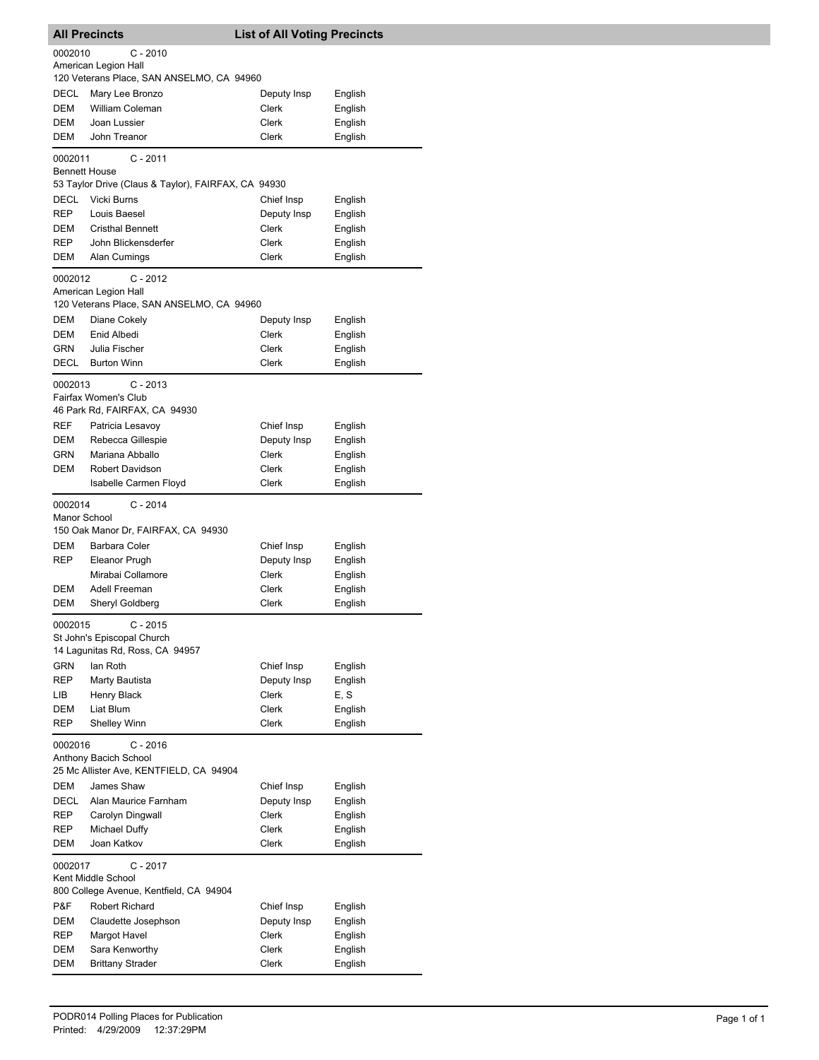|                         | <b>All Precincts</b>                                                        | <b>List of All Voting Precincts</b> |                    |
|-------------------------|-----------------------------------------------------------------------------|-------------------------------------|--------------------|
| 0002010                 | C - 2010                                                                    |                                     |                    |
|                         | American Legion Hall<br>120 Veterans Place, SAN ANSELMO, CA 94960           |                                     |                    |
| DECL                    | Mary Lee Bronzo                                                             | Deputy Insp                         | English            |
| DEM                     | <b>William Coleman</b>                                                      | Clerk                               | English            |
| DEM                     | Joan Lussier                                                                | Clerk                               | English            |
| DEM                     | John Treanor                                                                | Clerk                               | English            |
| 0002011                 | $C - 2011$                                                                  |                                     |                    |
|                         | <b>Bennett House</b><br>53 Taylor Drive (Claus & Taylor), FAIRFAX, CA 94930 |                                     |                    |
| DECL                    | Vicki Burns                                                                 | Chief Insp                          | English            |
| REP                     | Louis Baesel                                                                | Deputy Insp                         | English            |
| DEM                     | <b>Cristhal Bennett</b>                                                     | Clerk                               | English            |
| REP                     | John Blickensderfer                                                         | Clerk                               | English            |
| DEM                     | Alan Cumings                                                                | Clerk                               | English            |
| 0002012                 | $C - 2012$                                                                  |                                     |                    |
|                         | American Legion Hall<br>120 Veterans Place, SAN ANSELMO, CA 94960           |                                     |                    |
| DEM                     | Diane Cokely                                                                | Deputy Insp                         | English            |
| DEM                     | Enid Albedi                                                                 | Clerk                               | English            |
| <b>GRN</b>              | Julia Fischer                                                               | Clerk                               | English            |
| DECL                    | <b>Burton Winn</b>                                                          | Clerk                               | English            |
| 0002013                 | $C - 2013$                                                                  |                                     |                    |
|                         | Fairfax Women's Club                                                        |                                     |                    |
|                         | 46 Park Rd, FAIRFAX, CA 94930                                               |                                     |                    |
| REF                     | Patricia Lesavoy                                                            | Chief Insp                          | English            |
| DEM                     | Rebecca Gillespie                                                           | Deputy Insp                         | English            |
| GRN                     | Mariana Abballo                                                             | Clerk                               | English            |
| DEM                     | Robert Davidson<br><b>Isabelle Carmen Floyd</b>                             | Clerk<br>Clerk                      | English<br>English |
|                         |                                                                             |                                     |                    |
| 0002014<br>Manor School | $C - 2014$                                                                  |                                     |                    |
|                         | 150 Oak Manor Dr, FAIRFAX, CA 94930                                         |                                     |                    |
| DEM                     | Barbara Coler                                                               | Chief Insp                          | English            |
| REP                     | Eleanor Prugh                                                               | Deputy Insp                         | English            |
|                         | Mirabai Collamore                                                           | Clerk                               | English            |
| DEM                     | Adell Freeman                                                               | Clerk                               | English            |
| DEM                     | Sheryl Goldberg                                                             | Clerk                               | English            |
| 0002015                 | $C - 2015$                                                                  |                                     |                    |
|                         | St John's Episcopal Church                                                  |                                     |                    |
|                         | 14 Laqunitas Rd, Ross, CA 94957                                             |                                     |                    |
| GRN<br><b>REP</b>       | lan Roth<br>Marty Bautista                                                  | Chief Insp<br>Deputy Insp           | English<br>English |
| LIB                     | Henry Black                                                                 | Clerk                               | E, S               |
| DEM                     | Liat Blum                                                                   | Clerk                               | English            |
| REP                     | Shelley Winn                                                                | Clerk                               | English            |
| 0002016                 | $C - 2016$                                                                  |                                     |                    |
|                         | Anthony Bacich School                                                       |                                     |                    |
|                         | 25 Mc Allister Ave, KENTFIELD, CA 94904                                     |                                     |                    |
| DEM                     | James Shaw                                                                  | Chief Insp                          | English            |
| DECL                    | Alan Maurice Farnham                                                        | Deputy Insp                         | English            |
| REP                     | Carolyn Dingwall                                                            | Clerk                               | English            |
| REP                     | Michael Duffy                                                               | Clerk                               | English            |
| DEM                     | Joan Katkov                                                                 | Clerk                               | English            |
| 0002017                 | $C - 2017$                                                                  |                                     |                    |
|                         | Kent Middle School<br>800 College Avenue, Kentfield, CA 94904               |                                     |                    |
| P&F                     | Robert Richard                                                              | Chief Insp                          | English            |
| DEM                     | Claudette Josephson                                                         | Deputy Insp                         | English            |
| REP                     | Margot Havel                                                                | Clerk                               | English            |
| DEM                     | Sara Kenworthy                                                              | Clerk                               | English            |
| DEM                     | <b>Brittany Strader</b>                                                     | Clerk                               | English            |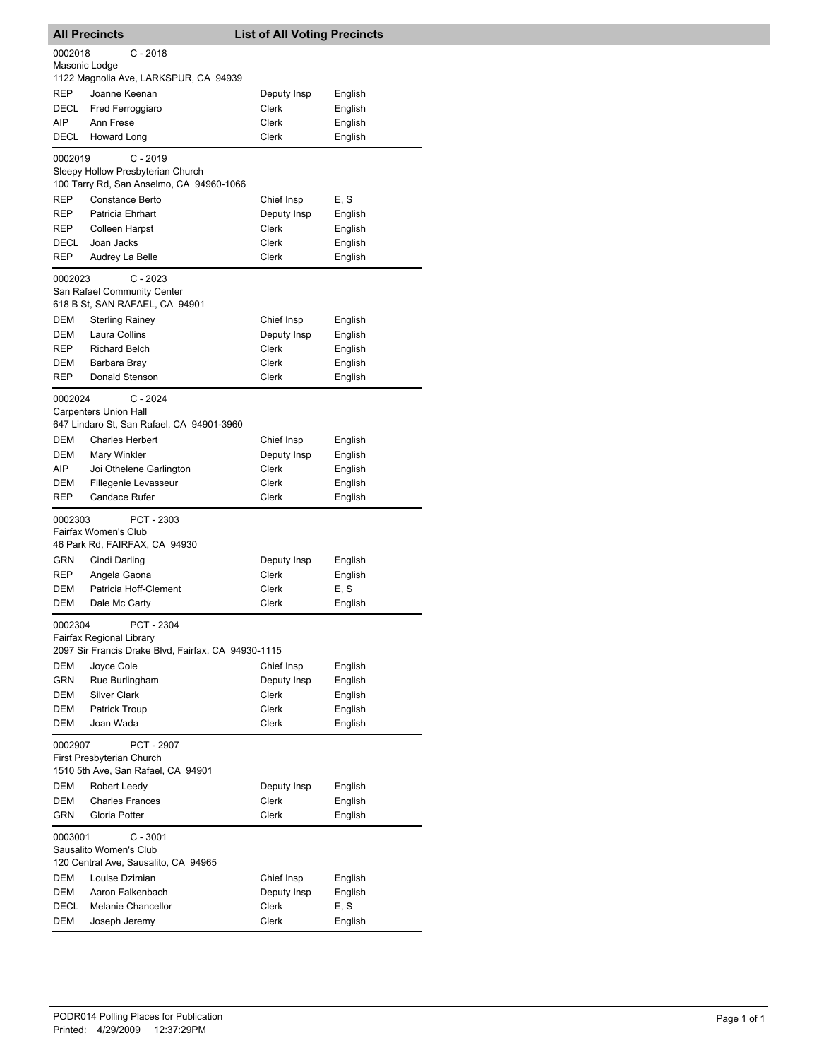|                          | <b>All Precincts</b>                                                                          | <b>List of All Voting Precincts</b> |                    |
|--------------------------|-----------------------------------------------------------------------------------------------|-------------------------------------|--------------------|
| 0002018<br>Masonic Lodge | $C - 2018$                                                                                    |                                     |                    |
|                          | 1122 Magnolia Ave, LARKSPUR, CA 94939                                                         |                                     |                    |
| REP                      | Joanne Keenan                                                                                 | Deputy Insp                         | English            |
| DECL                     | Fred Ferroggiaro                                                                              | Clerk                               | English            |
| AIP                      | Ann Frese                                                                                     | Clerk                               | English            |
| DECL                     | <b>Howard Long</b>                                                                            | Clerk                               | English            |
| 0002019                  | $C - 2019$<br>Sleepy Hollow Presbyterian Church                                               |                                     |                    |
|                          | 100 Tarry Rd, San Anselmo, CA 94960-1066                                                      |                                     |                    |
| REP                      | Constance Berto                                                                               | Chief Insp                          | E, S               |
| REP                      | Patricia Ehrhart                                                                              | Deputy Insp                         | English            |
| REP                      | Colleen Harpst                                                                                | Clerk                               | English            |
| DECL<br>REP              | Joan Jacks<br>Audrey La Belle                                                                 | Clerk<br>Clerk                      | English<br>English |
|                          | $C - 2023$                                                                                    |                                     |                    |
| 0002023                  | San Rafael Community Center<br>618 B St, SAN RAFAEL, CA 94901                                 |                                     |                    |
| DEM                      | <b>Sterling Rainey</b>                                                                        | Chief Insp                          | English            |
| DEM                      | Laura Collins                                                                                 | Deputy Insp                         | English            |
| REP                      | <b>Richard Belch</b>                                                                          | Clerk                               | English            |
| DEM                      | Barbara Bray                                                                                  | Clerk                               | English            |
| REP                      | Donald Stenson                                                                                | Clerk                               | English            |
| 0002024                  | $C - 2024$<br><b>Carpenters Union Hall</b><br>647 Lindaro St, San Rafael, CA 94901-3960       |                                     |                    |
| DEM                      | <b>Charles Herbert</b>                                                                        | Chief Insp                          | English            |
| <b>DEM</b>               | Mary Winkler                                                                                  | Deputy Insp                         | English            |
| AIP.                     | Joi Othelene Garlington                                                                       | Clerk                               | English            |
| DEM                      | Fillegenie Levasseur<br><b>Candace Rufer</b>                                                  | Clerk<br>Clerk                      | English<br>English |
| REP                      |                                                                                               |                                     |                    |
| 0002303                  | PCT - 2303<br>Fairfax Women's Club<br>46 Park Rd, FAIRFAX, CA 94930                           |                                     |                    |
| GRN                      | Cindi Darling                                                                                 | Deputy Insp                         | English            |
| REP                      | Angela Gaona                                                                                  | <b>Clerk</b>                        | English            |
| DEM                      | Patricia Hoff-Clement                                                                         | Clerk                               | E, S               |
| <b>DEM</b>               | Dale Mc Carty                                                                                 | Clerk                               | English            |
| 0002304                  | PCT - 2304<br>Fairfax Regional Library<br>2097 Sir Francis Drake Blvd, Fairfax, CA 94930-1115 |                                     |                    |
| DEM                      | Joyce Cole                                                                                    | Chief Insp                          | English            |
| GRN                      | Rue Burlingham                                                                                | Deputy Insp                         | English            |
| DEM                      | <b>Silver Clark</b>                                                                           | Clerk                               | English            |
| DEM                      | Patrick Troup                                                                                 | Clerk                               | English            |
| DEM                      | Joan Wada                                                                                     | <b>Clerk</b>                        | English            |
| 0002907                  | PCT - 2907<br>First Presbyterian Church<br>1510 5th Ave, San Rafael, CA 94901                 |                                     |                    |
| DEM                      | Robert Leedy                                                                                  | Deputy Insp                         | English            |
| DEM                      | <b>Charles Frances</b>                                                                        | Clerk                               | English            |
| GRN                      | Gloria Potter                                                                                 | Clerk                               | English            |
| 0003001                  | $C - 3001$<br>Sausalito Women's Club                                                          |                                     |                    |
|                          | 120 Central Ave, Sausalito, CA 94965                                                          |                                     |                    |
| DEM                      | Louise Dzimian                                                                                | Chief Insp                          | English            |
| DEM                      | Aaron Falkenbach                                                                              | Deputy Insp                         | English            |
| DECL                     | Melanie Chancellor                                                                            | Clerk                               | E, S               |
| DEM                      | Joseph Jeremy                                                                                 | Clerk                               | English            |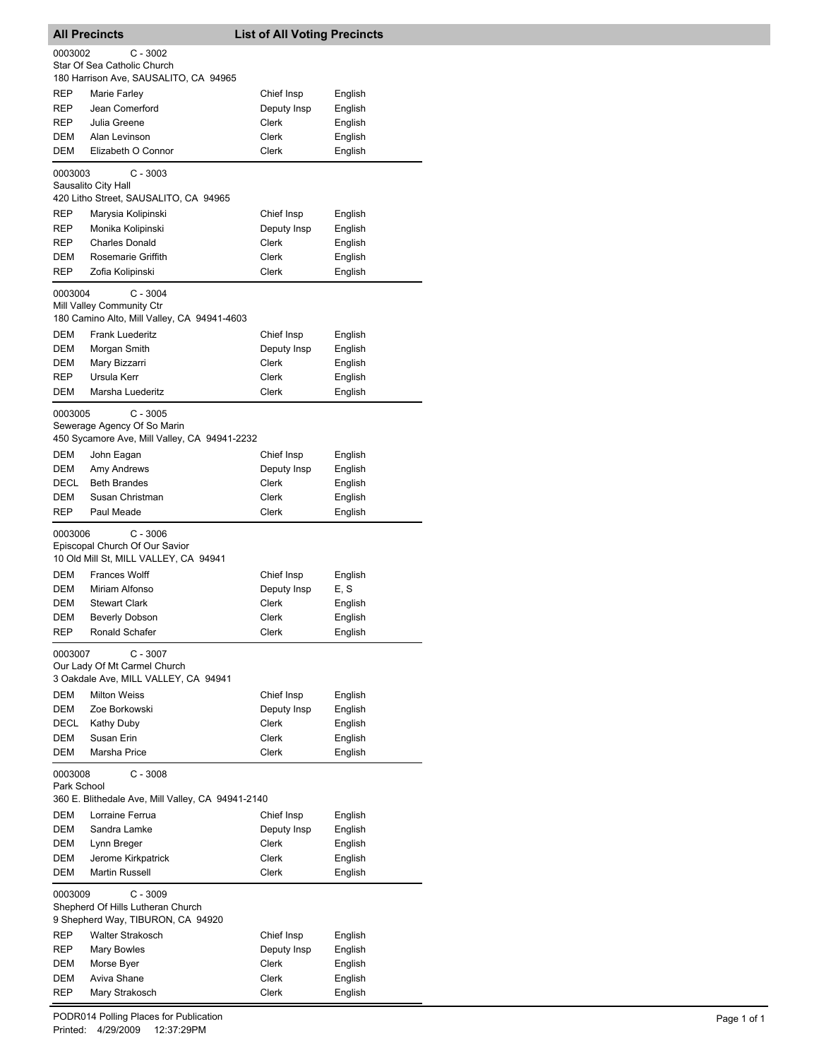|             | <b>All Precincts</b>                              | <b>List of All Voting Precincts</b> |                    |
|-------------|---------------------------------------------------|-------------------------------------|--------------------|
| 0003002     | $C - 3002$                                        |                                     |                    |
|             | Star Of Sea Catholic Church                       |                                     |                    |
|             | 180 Harrison Ave, SAUSALITO, CA 94965             |                                     |                    |
| REP         | Marie Farley                                      | Chief Insp                          | English            |
| REP         | Jean Comerford                                    | Deputy Insp                         | English            |
| REP         | Julia Greene                                      | <b>Clerk</b>                        | English            |
| DEM         | Alan Levinson                                     | Clerk                               | English            |
| DEM         | Elizabeth O Connor                                | Clerk                               | English            |
| 0003003     | $C - 3003$                                        |                                     |                    |
|             | Sausalito City Hall                               |                                     |                    |
|             | 420 Litho Street, SAUSALITO, CA 94965             |                                     |                    |
| REP         | Marysia Kolipinski                                | Chief Insp                          | English            |
| REP         | Monika Kolipinski                                 | Deputy Insp                         | English            |
| REP         | <b>Charles Donald</b>                             | Clerk                               | English            |
| DEM         | Rosemarie Griffith                                | Clerk                               | English            |
| REP         | Zofia Kolipinski                                  | Clerk                               | English            |
| 0003004     | C - 3004                                          |                                     |                    |
|             | Mill Valley Community Ctr                         |                                     |                    |
|             | 180 Camino Alto, Mill Valley, CA 94941-4603       |                                     |                    |
| DEM         | <b>Frank Luederitz</b>                            | Chief Insp                          | English            |
| DEM         | Morgan Smith                                      | Deputy Insp                         | English            |
| DEM         | Mary Bizzarri                                     | Clerk                               | English            |
| REP         | Ursula Kerr                                       | Clerk                               | English            |
| DEM         | Marsha Luederitz                                  | Clerk                               | English            |
|             |                                                   |                                     |                    |
| 0003005     | $C - 3005$<br>Sewerage Agency Of So Marin         |                                     |                    |
|             | 450 Sycamore Ave, Mill Valley, CA 94941-2232      |                                     |                    |
| DEM         | John Eagan                                        | Chief Insp                          | English            |
| DEM         | Amy Andrews                                       | Deputy Insp                         | English            |
| DECL        | <b>Beth Brandes</b>                               | Clerk                               | English            |
| DEM         | Susan Christman                                   | Clerk                               | English            |
| REP         | Paul Meade                                        | Clerk                               | English            |
|             |                                                   |                                     |                    |
| 0003006     | $C - 3006$                                        |                                     |                    |
|             | Episcopal Church Of Our Savior                    |                                     |                    |
|             | 10 Old Mill St, MILL VALLEY, CA 94941             |                                     |                    |
| DEM<br>DEM  | <b>Frances Wolff</b>                              | Chief Insp                          | English            |
| DEM         | Miriam Alfonso<br><b>Stewart Clark</b>            | Deputy Insp<br>Clerk                | E, S<br>English    |
| DEM         |                                                   | Clerk                               |                    |
| <b>REP</b>  | <b>Beverly Dobson</b><br>Ronald Schafer           | Clerk                               | English<br>English |
|             |                                                   |                                     |                    |
| 0003007     | C - 3007                                          |                                     |                    |
|             | Our Lady Of Mt Carmel Church                      |                                     |                    |
|             | 3 Oakdale Ave, MILL VALLEY, CA 94941              |                                     |                    |
| DEM         | <b>Milton Weiss</b>                               | Chief Insp                          | English            |
| DEM         | Zoe Borkowski                                     | Deputy Insp                         | English            |
| DECL        | Kathy Duby                                        | Clerk                               | English            |
| DEM         | Susan Erin                                        | Clerk                               | English            |
| DEM         | Marsha Price                                      | Clerk                               | English            |
| 0003008     | $C - 3008$                                        |                                     |                    |
| Park School |                                                   |                                     |                    |
|             | 360 E. Blithedale Ave, Mill Valley, CA 94941-2140 |                                     |                    |
| DEM         | Lorraine Ferrua                                   | Chief Insp                          | English            |
| DEM         | Sandra Lamke                                      | Deputy Insp                         | English            |
| DEM         | Lynn Breger                                       | Clerk                               | English            |
| DEM         | Jerome Kirkpatrick                                | Clerk                               | English            |
| DEM         | Martin Russell                                    | Clerk                               | English            |
| 0003009     | $C - 3009$                                        |                                     |                    |
|             | Shepherd Of Hills Lutheran Church                 |                                     |                    |
|             | 9 Shepherd Way, TIBURON, CA 94920                 |                                     |                    |
| REP         | <b>Walter Strakosch</b>                           | Chief Insp                          | English            |
| REP         | Mary Bowles                                       | Deputy Insp                         | English            |
| DEM         | Morse Byer                                        | Clerk                               | English            |
| DEM         | Aviva Shane                                       | Clerk                               | English            |
| REP         | Mary Strakosch                                    | Clerk                               | English            |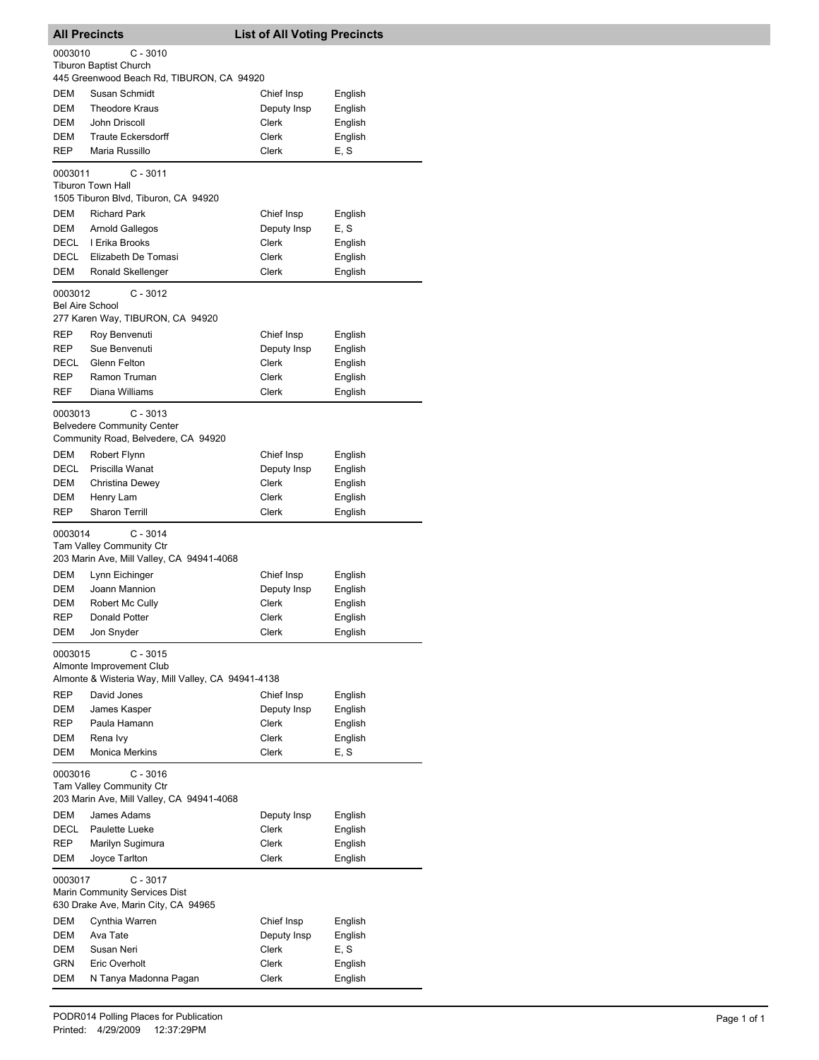| <b>All Precincts</b>                |                                                    | <b>List of All Voting Precincts</b> |         |
|-------------------------------------|----------------------------------------------------|-------------------------------------|---------|
| 0003010                             | $C - 3010$                                         |                                     |         |
|                                     | <b>Tiburon Baptist Church</b>                      |                                     |         |
|                                     | 445 Greenwood Beach Rd, TIBURON, CA 94920          |                                     |         |
| DEM                                 | Susan Schmidt                                      | Chief Insp                          | English |
| <b>DEM</b>                          | <b>Theodore Kraus</b>                              | Deputy Insp                         | English |
| DEM                                 | John Driscoll                                      | Clerk                               | English |
| DEM                                 | <b>Traute Eckersdorff</b>                          | Clerk                               | English |
| <b>REP</b>                          | Maria Russillo                                     | Clerk                               | E, S    |
| 0003011                             | $C - 3011$                                         |                                     |         |
|                                     | <b>Tiburon Town Hall</b>                           |                                     |         |
|                                     | 1505 Tiburon Blvd, Tiburon, CA 94920               |                                     |         |
| DEM                                 | <b>Richard Park</b>                                | Chief Insp                          | English |
| DEM                                 | Arnold Gallegos                                    | Deputy Insp                         | E, S    |
| DECL                                | I Erika Brooks                                     | Clerk                               | English |
| DECL                                | Elizabeth De Tomasi                                | Clerk                               | English |
| DEM                                 | Ronald Skellenger                                  | Clerk                               | English |
| 0003012                             | $C - 3012$                                         |                                     |         |
| <b>Bel Aire School</b>              |                                                    |                                     |         |
|                                     | 277 Karen Way, TIBURON, CA 94920                   |                                     |         |
| REP                                 | Roy Benvenuti                                      | Chief Insp                          | English |
| REP                                 | Sue Benvenuti                                      | Deputy Insp                         | English |
| DECL                                | Glenn Felton                                       | Clerk                               | English |
| REP                                 | Ramon Truman                                       | Clerk                               | English |
| REF                                 | Diana Williams                                     | Clerk                               | English |
| 0003013                             | $C - 3013$                                         |                                     |         |
|                                     | <b>Belvedere Community Center</b>                  |                                     |         |
|                                     | Community Road, Belvedere, CA 94920                |                                     |         |
| DEM                                 | Robert Flynn                                       | Chief Insp                          | English |
| DECL                                | Priscilla Wanat                                    | Deputy Insp                         | English |
| DEM                                 | Christina Dewey                                    | Clerk                               | English |
| DEM                                 | Henry Lam                                          | Clerk                               | English |
| <b>REP</b>                          | <b>Sharon Terrill</b>                              | Clerk                               | English |
| 0003014                             | $C - 3014$                                         |                                     |         |
|                                     | Tam Valley Community Ctr                           |                                     |         |
|                                     | 203 Marin Ave, Mill Valley, CA 94941-4068          |                                     |         |
| DEM                                 | Lynn Eichinger                                     | Chief Insp                          | English |
| DEM                                 | Joann Mannion                                      | Deputy Insp                         | English |
| DEM                                 | Robert Mc Cully                                    | Clerk                               | English |
| REP                                 | Donald Potter                                      | Clerk                               | English |
| DEM                                 | Jon Snyder                                         | Clerk                               | English |
| 0003015                             | $C - 3015$                                         |                                     |         |
|                                     | Almonte Improvement Club                           |                                     |         |
|                                     | Almonte & Wisteria Way, Mill Valley, CA 94941-4138 |                                     |         |
| <b>REP</b>                          | David Jones                                        | Chief Insp                          | English |
| <b>DEM</b>                          | James Kasper                                       | Deputy Insp                         | English |
| REP                                 | Paula Hamann                                       | Clerk                               | English |
| <b>DEM</b>                          | Rena Ivy                                           | Clerk                               | English |
| DEM                                 | <b>Monica Merkins</b>                              | Clerk                               | E, S    |
| 0003016                             | $C - 3016$                                         |                                     |         |
|                                     | <b>Tam Valley Community Ctr</b>                    |                                     |         |
|                                     | 203 Marin Ave, Mill Valley, CA 94941-4068          |                                     |         |
| DEM                                 | James Adams                                        | Deputy Insp                         | English |
| DECL                                | Paulette Lueke                                     | Clerk                               | English |
| REP                                 | Marilyn Sugimura                                   | Clerk                               | English |
| DEM                                 | Joyce Tarlton                                      | Clerk                               | English |
| 0003017                             | C - 3017                                           |                                     |         |
| Marin Community Services Dist       |                                                    |                                     |         |
| 630 Drake Ave, Marin City, CA 94965 |                                                    |                                     |         |
| DEM                                 | Cynthia Warren                                     | Chief Insp                          | English |
| DEM                                 | Ava Tate                                           | Deputy Insp                         | English |
| DEM                                 | Susan Neri                                         | Clerk                               | E, S    |
| GRN                                 | Eric Overholt                                      | Clerk                               | English |
| DEM                                 | N Tanya Madonna Pagan                              | Clerk                               | English |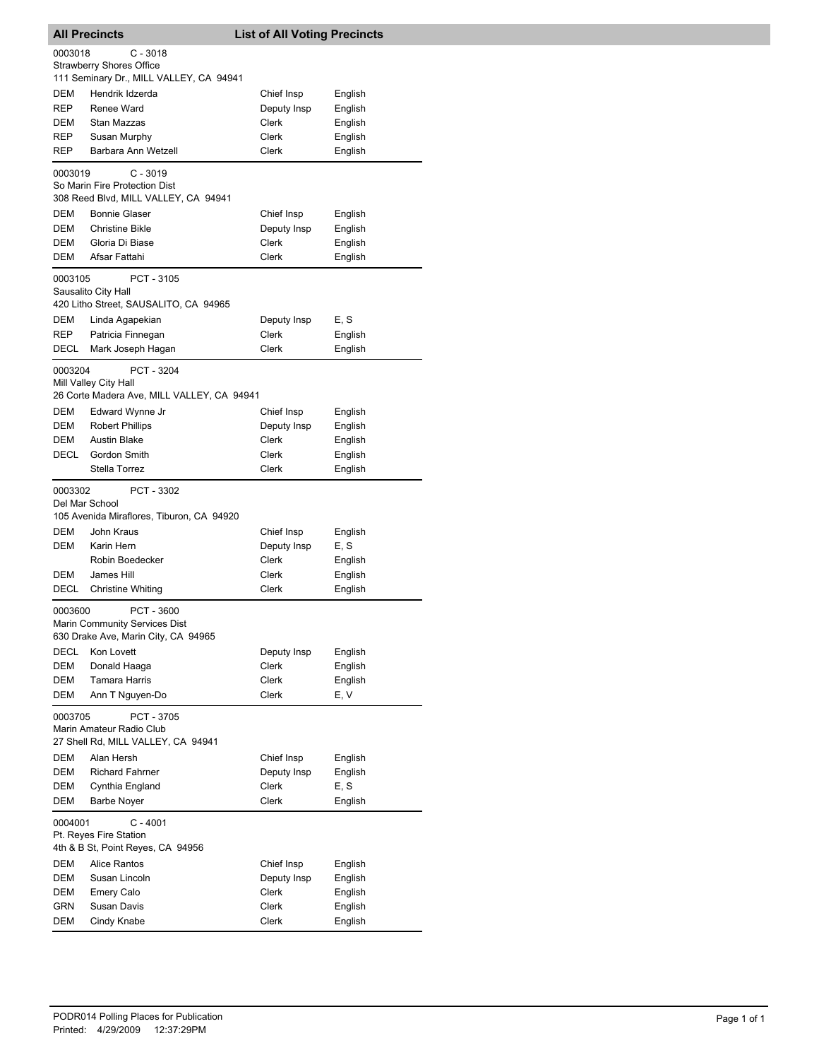| <b>All Precincts</b>                    |                                                                                     | <b>List of All Voting Precincts</b> |                 |
|-----------------------------------------|-------------------------------------------------------------------------------------|-------------------------------------|-----------------|
| 0003018                                 | $C - 3018$                                                                          |                                     |                 |
|                                         | <b>Strawberry Shores Office</b>                                                     |                                     |                 |
|                                         | 111 Seminary Dr., MILL VALLEY, CA 94941                                             |                                     |                 |
| DEM                                     | Hendrik Idzerda                                                                     | Chief Insp                          | English         |
| <b>REP</b>                              | Renee Ward                                                                          | Deputy Insp                         | English         |
| DEM                                     | Stan Mazzas                                                                         | Clerk                               | English         |
| REP                                     | Susan Murphy                                                                        | Clerk                               | English         |
| REP                                     | Barbara Ann Wetzell                                                                 | Clerk                               | English         |
| 0003019                                 | C - 3019<br>So Marin Fire Protection Dist<br>308 Reed Blvd, MILL VALLEY, CA 94941   |                                     |                 |
| DEM                                     | <b>Bonnie Glaser</b>                                                                | Chief Insp                          | English         |
| DEM                                     | <b>Christine Bikle</b>                                                              | Deputy Insp                         | English         |
| DEM                                     | Gloria Di Biase                                                                     | Clerk                               | English         |
| DEM                                     | Afsar Fattahi                                                                       | <b>Clerk</b>                        | English         |
| 0003105                                 | PCT - 3105<br>Sausalito City Hall<br>420 Litho Street, SAUSALITO, CA 94965          |                                     |                 |
| DEM                                     | Linda Agapekian                                                                     | Deputy Insp                         | E, S            |
| REP                                     | Patricia Finnegan                                                                   | Clerk                               | English         |
| DECL                                    | Mark Joseph Hagan                                                                   | Clerk                               | English         |
| 0003204                                 | PCT - 3204<br>Mill Valley City Hall<br>26 Corte Madera Ave, MILL VALLEY, CA 94941   |                                     |                 |
| DEM                                     | Edward Wynne Jr                                                                     | Chief Insp                          | English         |
| DEM                                     | <b>Robert Phillips</b>                                                              | Deputy Insp                         | English         |
| DEM                                     | <b>Austin Blake</b>                                                                 | Clerk                               | English         |
| DECL                                    | Gordon Smith                                                                        | Clerk                               | English         |
|                                         | Stella Torrez                                                                       | Clerk                               | English         |
| 0003302<br>Del Mar School<br>DEM<br>DEM | PCT - 3302<br>105 Avenida Miraflores, Tiburon, CA 94920<br>John Kraus<br>Karin Hern | Chief Insp<br>Deputy Insp           | English<br>E, S |
|                                         | Robin Boedecker                                                                     | Clerk                               | English         |
| DEM                                     | James Hill                                                                          | Clerk                               | English         |
| <b>DECL</b>                             | <b>Christine Whiting</b>                                                            | Clerk                               | English         |
| 0003600                                 | PCT - 3600<br>Marin Community Services Dist<br>630 Drake Ave, Marin City, CA 94965  |                                     |                 |
| DECL                                    | Kon Lovett                                                                          | Deputy Insp                         | English         |
| DEM                                     | Donald Haaga                                                                        | Clerk                               | English         |
| DEM                                     | Tamara Harris                                                                       | Clerk                               | English         |
| DEM                                     | Ann T Nguyen-Do                                                                     | Clerk                               | E, V            |
| 0003705                                 | PCT - 3705<br>Marin Amateur Radio Club<br>27 Shell Rd, MILL VALLEY, CA 94941        |                                     |                 |
| DEM                                     | Alan Hersh                                                                          | Chief Insp                          | English         |
| DEM                                     | <b>Richard Fahrner</b>                                                              | Deputy Insp                         | English         |
| DEM                                     | Cynthia England                                                                     | Clerk                               | E, S            |
| DEM                                     | <b>Barbe Nover</b>                                                                  | Clerk                               | English         |
| 0004001                                 | $C - 4001$<br>Pt. Reyes Fire Station<br>4th & B St, Point Reyes, CA 94956           |                                     |                 |
| DEM                                     | <b>Alice Rantos</b>                                                                 | Chief Insp                          | English         |
| DEM                                     | Susan Lincoln                                                                       | Deputy Insp                         | English         |
| DEM                                     | <b>Emery Calo</b>                                                                   | Clerk                               | English         |
| GRN                                     | Susan Davis                                                                         | Clerk                               | English         |
| DEM                                     | Cindy Knabe                                                                         | Clerk                               | English         |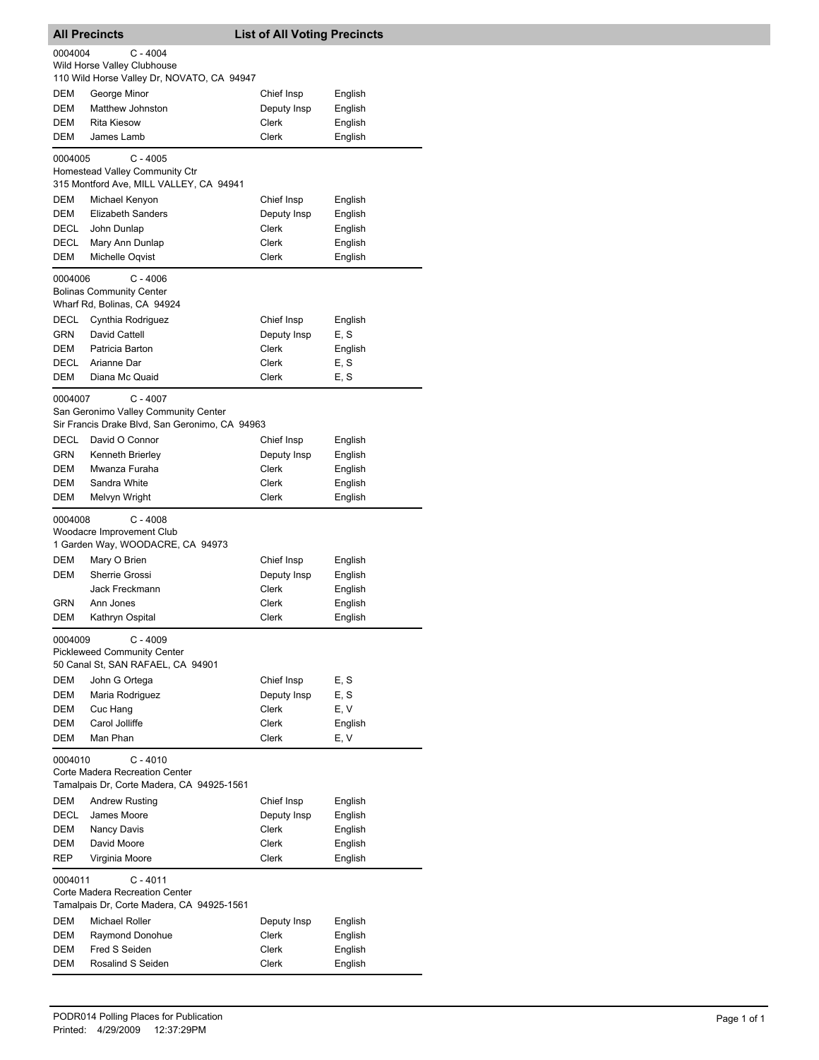|             | <b>All Precincts</b>                                                                    | <b>List of All Voting Precincts</b> |                    |
|-------------|-----------------------------------------------------------------------------------------|-------------------------------------|--------------------|
| 0004004     | $C - 4004$<br>Wild Horse Valley Clubhouse<br>110 Wild Horse Valley Dr, NOVATO, CA 94947 |                                     |                    |
| DEM<br>DEM  | George Minor<br>Matthew Johnston                                                        | Chief Insp<br>Deputy Insp           | English<br>English |
| DEM         | <b>Rita Kiesow</b>                                                                      | Clerk                               | English            |
| DEM         | James Lamb                                                                              | <b>Clerk</b>                        | English            |
| 0004005     | $C - 4005$<br>Homestead Valley Community Ctr<br>315 Montford Ave, MILL VALLEY, CA 94941 |                                     |                    |
| DEM         | Michael Kenyon                                                                          | Chief Insp                          | English            |
| <b>DEM</b>  | <b>Elizabeth Sanders</b>                                                                | Deputy Insp                         | English            |
| DECL        | John Dunlap                                                                             | Clerk                               | English            |
| DECL        | Mary Ann Dunlap                                                                         | Clerk                               | English            |
| DEM         | Michelle Oqvist                                                                         | Clerk                               | English            |
| 0004006     | $C - 4006$<br><b>Bolinas Community Center</b><br>Wharf Rd, Bolinas, CA 94924            |                                     |                    |
| DECL        | Cynthia Rodriguez                                                                       | Chief Insp                          | English            |
| GRN         | David Cattell                                                                           | Deputy Insp                         | E, S               |
| DEM         | Patricia Barton                                                                         | Clerk                               | English            |
| DECL        | Arianne Dar                                                                             | Clerk                               | E, S               |
| <b>DEM</b>  | Diana Mc Quaid                                                                          | Clerk                               | E, S               |
| 0004007     | $C - 4007$<br>San Geronimo Valley Community Center                                      |                                     |                    |
| <b>DECL</b> | Sir Francis Drake Blvd, San Geronimo, CA 94963<br>David O Connor                        | Chief Insp                          | English            |
| GRN         | Kenneth Brierley                                                                        | Deputy Insp                         | English            |
| DEM         | Mwanza Furaha                                                                           | Clerk                               | English            |
| DEM         | Sandra White                                                                            | Clerk                               | English            |
| DEM         | Melvyn Wright                                                                           | Clerk                               | English            |
| 0004008     | $C - 4008$<br>Woodacre Improvement Club                                                 |                                     |                    |
|             | 1 Garden Way, WOODACRE, CA 94973                                                        |                                     |                    |
| <b>DEM</b>  | Mary O Brien                                                                            | Chief Insp                          | English            |
| DEM         | Sherrie Grossi                                                                          | Deputy Insp                         | English            |
| GRN         | Jack Freckmann<br>Ann Jones                                                             | Clerk<br>Clerk                      | English<br>English |
| DEM         | Kathryn Ospital                                                                         | Clerk                               | English            |
| 0004009     | $C - 4009$                                                                              |                                     |                    |
|             | <b>Pickleweed Community Center</b><br>50 Canal St, SAN RAFAEL, CA 94901                 |                                     |                    |
| <b>DEM</b>  | John G Ortega                                                                           | Chief Insp                          | E.S                |
| DEM         | Maria Rodriguez                                                                         | Deputy Insp                         | E, S               |
| DEM         | Cuc Hang                                                                                | Clerk                               | E, V               |
| DEM         | Carol Jolliffe                                                                          | Clerk                               | English            |
| DEM         | Man Phan                                                                                | Clerk                               | E, V               |
| 0004010     | C - 4010                                                                                |                                     |                    |
|             | Corte Madera Recreation Center<br>Tamalpais Dr, Corte Madera, CA 94925-1561             |                                     |                    |
| DEM         | <b>Andrew Rusting</b>                                                                   | Chief Insp                          | English            |
| <b>DECL</b> | James Moore                                                                             | Deputy Insp                         | English            |
| DEM         | Nancy Davis                                                                             | Clerk                               | English            |
| DEM         | David Moore                                                                             | Clerk                               | English            |
| <b>REP</b>  | Virginia Moore                                                                          | Clerk                               | English            |
| 0004011     | $C - 4011$                                                                              |                                     |                    |
|             | Corte Madera Recreation Center<br>Tamalpais Dr, Corte Madera, CA 94925-1561             |                                     |                    |
| DEM         | Michael Roller                                                                          | Deputy Insp                         | English            |
| DEM         | Raymond Donohue                                                                         | Clerk                               | English            |
| DEM         | Fred S Seiden                                                                           | Clerk                               | English            |
| DEM         | Rosalind S Seiden                                                                       | Clerk                               | English            |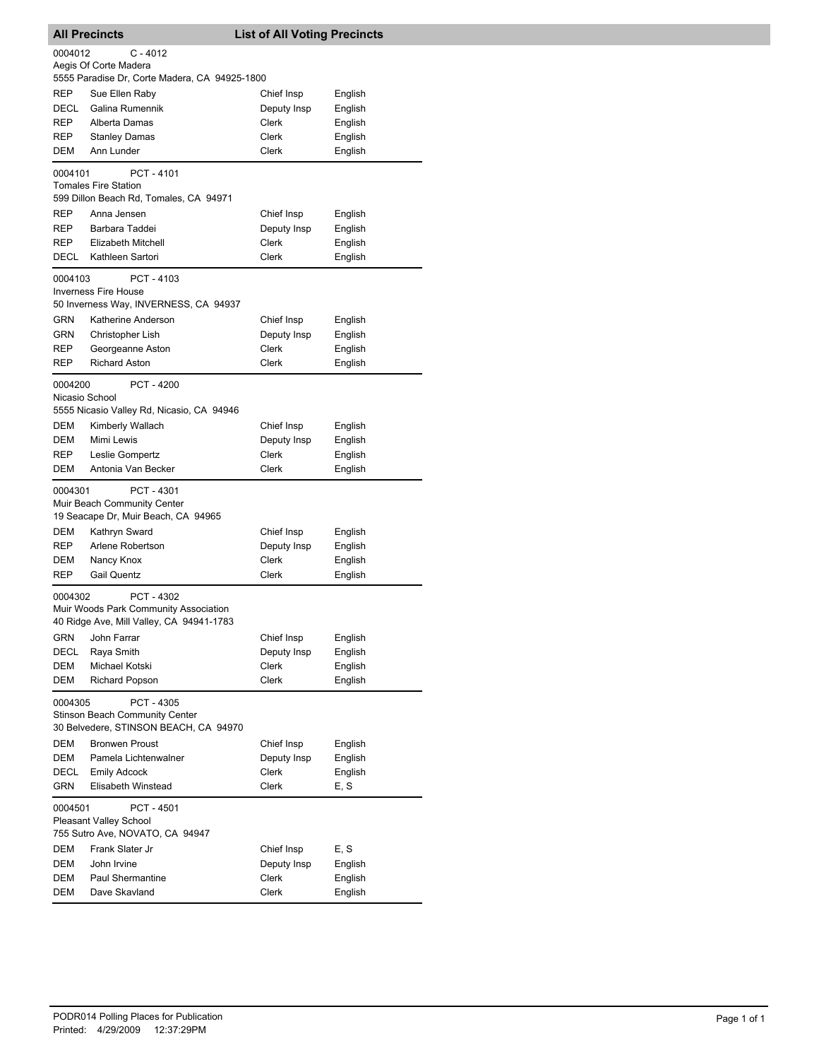|                   | <b>All Precincts</b>                                                           | <b>List of All Voting Precincts</b> |                    |
|-------------------|--------------------------------------------------------------------------------|-------------------------------------|--------------------|
| 0004012           | C - 4012                                                                       |                                     |                    |
|                   | Aegis Of Corte Madera                                                          |                                     |                    |
|                   | 5555 Paradise Dr, Corte Madera, CA 94925-1800                                  |                                     |                    |
| REP               | Sue Ellen Raby                                                                 | Chief Insp                          | English            |
| <b>DECL</b>       | Galina Rumennik                                                                | Deputy Insp                         | English            |
| REP               | Alberta Damas                                                                  | Clerk                               | English            |
| REP               | <b>Stanley Damas</b>                                                           | Clerk                               | English            |
| DEM               | Ann Lunder                                                                     | Clerk                               | English            |
| 0004101           | PCT-4101                                                                       |                                     |                    |
|                   | <b>Tomales Fire Station</b>                                                    |                                     |                    |
|                   | 599 Dillon Beach Rd, Tomales, CA 94971                                         |                                     |                    |
| REP               | Anna Jensen                                                                    | Chief Insp                          | English            |
| REP               | Barbara Taddei                                                                 | Deputy Insp                         | English            |
| REP               | Elizabeth Mitchell                                                             | Clerk                               | English            |
| DECL              | Kathleen Sartori                                                               | Clerk                               | English            |
| 0004103           | PCT-4103                                                                       |                                     |                    |
|                   | <b>Inverness Fire House</b>                                                    |                                     |                    |
|                   | 50 Inverness Way, INVERNESS, CA 94937                                          |                                     |                    |
| <b>GRN</b>        | Katherine Anderson                                                             | Chief Insp                          | English            |
| GRN<br><b>REP</b> | Christopher Lish                                                               | Deputy Insp                         | English            |
| <b>REP</b>        | Georgeanne Aston<br><b>Richard Aston</b>                                       | Clerk<br>Clerk                      | English            |
|                   |                                                                                |                                     | English            |
| 0004200           | PCT - 4200                                                                     |                                     |                    |
| Nicasio School    |                                                                                |                                     |                    |
|                   | 5555 Nicasio Valley Rd, Nicasio, CA 94946                                      |                                     |                    |
| DEM               | Kimberly Wallach                                                               | Chief Insp                          | English            |
| <b>DEM</b>        | Mimi Lewis                                                                     | Deputy Insp                         | English            |
| REP<br>DEM        | Leslie Gompertz                                                                | Clerk                               | English            |
|                   | Antonia Van Becker                                                             | Clerk                               | English            |
| 0004301           | PCT - 4301                                                                     |                                     |                    |
|                   | Muir Beach Community Center                                                    |                                     |                    |
|                   | 19 Seacape Dr, Muir Beach, CA 94965                                            |                                     |                    |
| DEM               | Kathryn Sward                                                                  | Chief Insp                          | English            |
| REP               | Arlene Robertson                                                               | Deputy Insp                         | English            |
| DEM               | Nancy Knox                                                                     | Clerk                               | English            |
| <b>REP</b>        | <b>Gail Quentz</b>                                                             | Clerk                               | English            |
| 0004302           | PCT - 4302                                                                     |                                     |                    |
|                   | Muir Woods Park Community Association                                          |                                     |                    |
|                   | 40 Ridge Ave, Mill Valley, CA 94941-1783                                       |                                     |                    |
| GRN<br>DECL       | John Farrar<br>Raya Smith                                                      | Chief Insp                          | English            |
| DEM               | Michael Kotski                                                                 | Deputy Insp<br>Clerk                | English<br>English |
| DEM               | Richard Popson                                                                 | Clerk                               | English            |
|                   |                                                                                |                                     |                    |
| 0004305           | PCT - 4305                                                                     |                                     |                    |
|                   | <b>Stinson Beach Community Center</b><br>30 Belvedere, STINSON BEACH, CA 94970 |                                     |                    |
| DEM               | <b>Bronwen Proust</b>                                                          | Chief Insp                          | English            |
| DEM               | Pamela Lichtenwalner                                                           | Deputy Insp                         | English            |
| DECL              | <b>Emily Adcock</b>                                                            | Clerk                               | English            |
| <b>GRN</b>        | Elisabeth Winstead                                                             | <b>Clerk</b>                        | E, S               |
| 0004501           | PCT - 4501                                                                     |                                     |                    |
|                   | <b>Pleasant Valley School</b>                                                  |                                     |                    |
|                   | 755 Sutro Ave, NOVATO, CA 94947                                                |                                     |                    |
| DEM               | Frank Slater Jr                                                                | Chief Insp                          | E, S               |
| DEM               | John Irvine                                                                    | Deputy Insp                         | English            |
| DEM               | Paul Shermantine                                                               | Clerk                               | English            |
| DEM               | Dave Skavland                                                                  | Clerk                               | English            |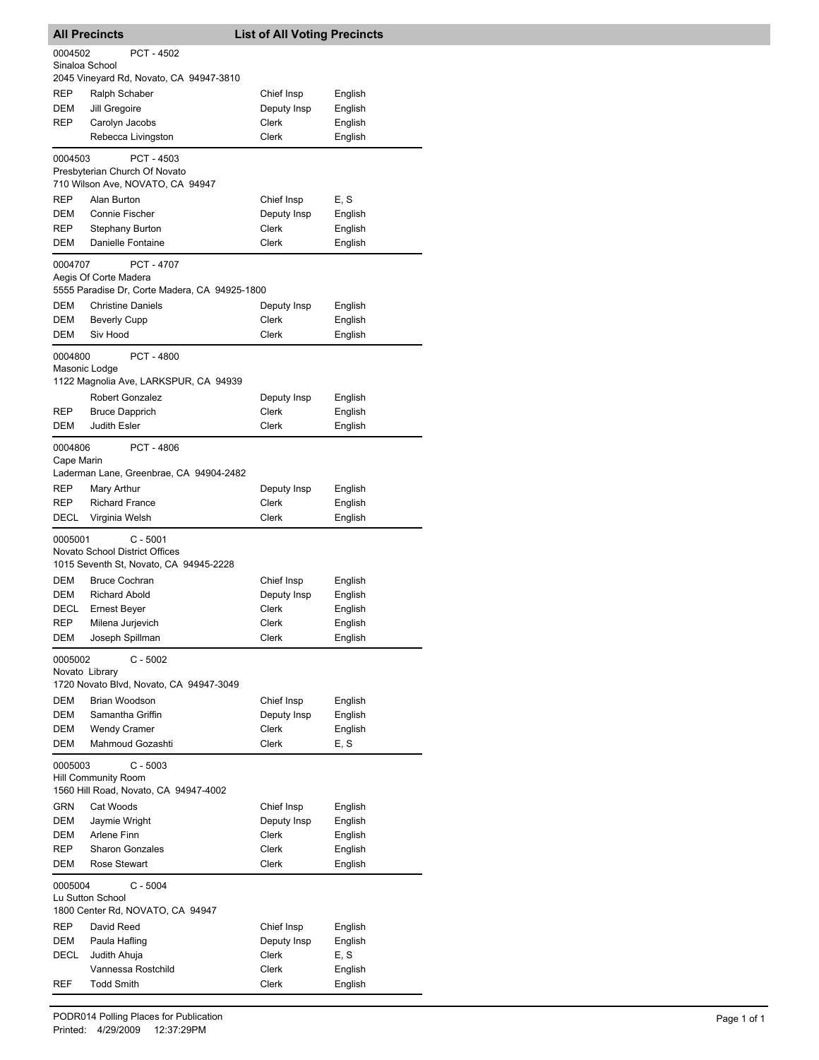|                           | <b>All Precincts</b>                          | <b>List of All Voting Precincts</b> |                    |
|---------------------------|-----------------------------------------------|-------------------------------------|--------------------|
| 0004502                   | <b>PCT - 4502</b>                             |                                     |                    |
| Sinaloa School            |                                               |                                     |                    |
|                           | 2045 Vineyard Rd, Novato, CA 94947-3810       |                                     |                    |
| REP<br>DEM                | Ralph Schaber<br>Jill Gregoire                | Chief Insp                          | English            |
| REP                       | Carolyn Jacobs                                | Deputy Insp<br>Clerk                | English<br>English |
|                           | Rebecca Livingston                            | Clerk                               | English            |
|                           |                                               |                                     |                    |
| 0004503                   | PCT - 4503<br>Presbyterian Church Of Novato   |                                     |                    |
|                           | 710 Wilson Ave, NOVATO, CA 94947              |                                     |                    |
| <b>REP</b>                | Alan Burton                                   | Chief Insp                          | E, S               |
| DEM                       | Connie Fischer                                | Deputy Insp                         | English            |
| <b>REP</b>                | Stephany Burton                               | Clerk                               | English            |
| <b>DEM</b>                | Danielle Fontaine                             | Clerk                               | English            |
| 0004707                   | <b>PCT - 4707</b>                             |                                     |                    |
|                           | Aegis Of Corte Madera                         |                                     |                    |
|                           | 5555 Paradise Dr, Corte Madera, CA 94925-1800 |                                     |                    |
| DEM                       | <b>Christine Daniels</b>                      | Deputy Insp                         | English            |
| DEM                       | <b>Beverly Cupp</b>                           | Clerk                               | English            |
| DEM                       | Siv Hood                                      | <b>Clerk</b>                        | English            |
| 0004800                   | <b>PCT - 4800</b>                             |                                     |                    |
| Masonic Lodge             |                                               |                                     |                    |
|                           | 1122 Magnolia Ave, LARKSPUR, CA 94939         |                                     |                    |
|                           | Robert Gonzalez                               | Deputy Insp                         | English            |
| REP                       | <b>Bruce Dapprich</b>                         | Clerk                               | English            |
| DEM                       | <b>Judith Esler</b>                           | Clerk                               | English            |
| 0004806                   | PCT - 4806                                    |                                     |                    |
| Cape Marin                |                                               |                                     |                    |
|                           | Laderman Lane, Greenbrae, CA 94904-2482       |                                     |                    |
| REP                       | Mary Arthur                                   | Deputy Insp                         | English            |
| REP                       | <b>Richard France</b>                         | Clerk                               | English            |
| DECL                      | Virginia Welsh                                | Clerk                               | English            |
| 0005001                   | $C - 5001$                                    |                                     |                    |
|                           | Novato School District Offices                |                                     |                    |
|                           | 1015 Seventh St, Novato, CA 94945-2228        |                                     |                    |
| DEM<br>DEM                | <b>Bruce Cochran</b><br><b>Richard Abold</b>  | Chief Insp                          | English            |
| DECL                      | <b>Ernest Bever</b>                           | Deputy Insp<br>Clerk                | English<br>English |
| REP                       | Milena Jurjevich                              | Clerk                               | English            |
| DEM                       | Joseph Spillman                               | Clerk                               | English            |
|                           |                                               |                                     |                    |
| 0005002<br>Novato Library | $C - 5002$                                    |                                     |                    |
|                           | 1720 Novato Blvd, Novato, CA 94947-3049       |                                     |                    |
| <b>DEM</b>                | Brian Woodson                                 | Chief Insp                          | English            |
| DEM                       | Samantha Griffin                              | Deputy Insp                         | English            |
| DEM                       | <b>Wendy Cramer</b>                           | <b>Clerk</b>                        | English            |
| DEM                       | Mahmoud Gozashti                              | Clerk                               | E, S               |
| 0005003                   | $C - 5003$                                    |                                     |                    |
|                           | <b>Hill Community Room</b>                    |                                     |                    |
|                           | 1560 Hill Road, Novato, CA 94947-4002         |                                     |                    |
| GRN                       | Cat Woods                                     | Chief Insp                          | English            |
| DEM                       | Jaymie Wright                                 | Deputy Insp                         | English            |
| DEM                       | Arlene Finn                                   | Clerk                               | English            |
| REP                       | <b>Sharon Gonzales</b>                        | Clerk                               | English            |
| DEM                       | Rose Stewart                                  | Clerk                               | English            |
| 0005004                   | $C - 5004$                                    |                                     |                    |
|                           | Lu Sutton School                              |                                     |                    |
|                           | 1800 Center Rd, NOVATO, CA 94947              |                                     |                    |
| REP                       | David Reed                                    | Chief Insp                          | English            |
| DEM                       | Paula Hafling                                 | Deputy Insp                         | English            |
| DECL                      | Judith Ahuja<br>Vannessa Rostchild            | Clerk<br>Clerk                      | E, S<br>English    |
| REF                       | <b>Todd Smith</b>                             | Clerk                               | English            |
|                           |                                               |                                     |                    |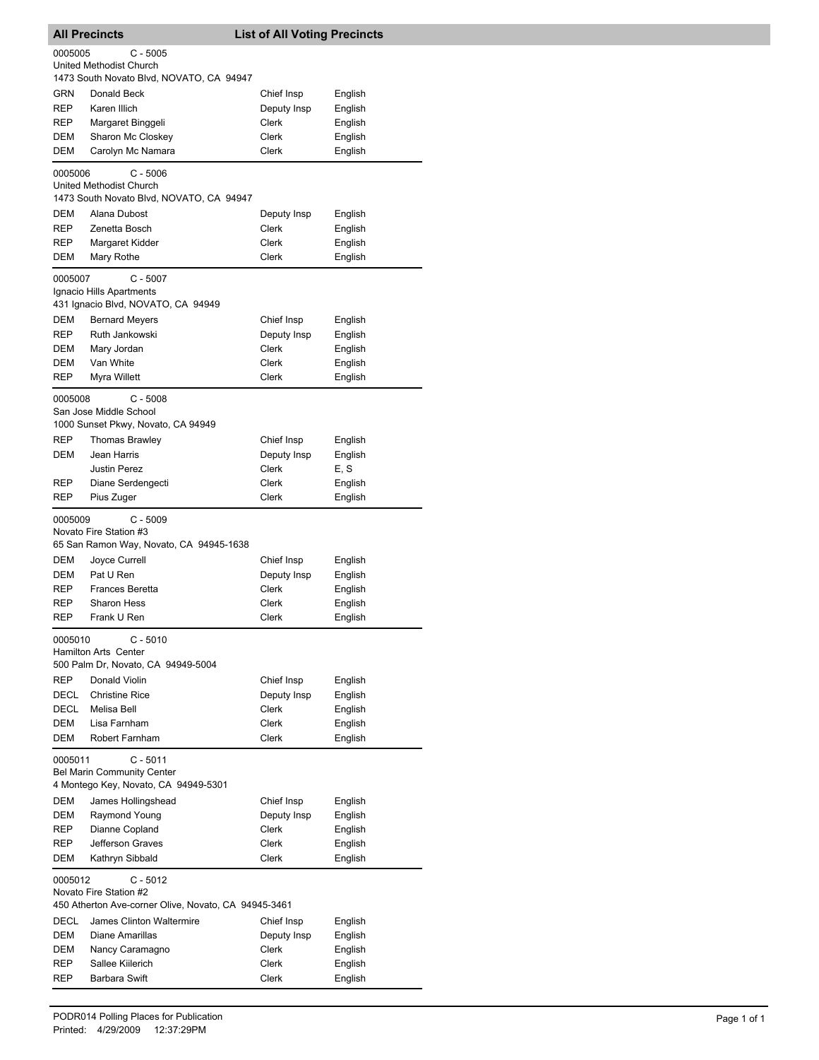| <b>All Precincts</b>                                                                                    |                                                                            | <b>List of All Voting Precincts</b> |         |  |  |  |
|---------------------------------------------------------------------------------------------------------|----------------------------------------------------------------------------|-------------------------------------|---------|--|--|--|
| 0005005                                                                                                 | $C - 5005$                                                                 |                                     |         |  |  |  |
|                                                                                                         | United Methodist Church                                                    |                                     |         |  |  |  |
| <b>GRN</b>                                                                                              | 1473 South Novato Blvd, NOVATO, CA 94947<br>Donald Beck                    | Chief Insp                          | English |  |  |  |
| <b>REP</b>                                                                                              | Karen Illich                                                               | Deputy Insp                         | English |  |  |  |
| REP                                                                                                     | Margaret Binggeli                                                          | Clerk                               | English |  |  |  |
| DEM                                                                                                     | Sharon Mc Closkey                                                          | Clerk                               | English |  |  |  |
| DEM                                                                                                     | Carolyn Mc Namara                                                          | Clerk                               | English |  |  |  |
|                                                                                                         |                                                                            |                                     |         |  |  |  |
| $C - 5006$<br>0005006<br>United Methodist Church<br>1473 South Novato Blvd, NOVATO, CA 94947            |                                                                            |                                     |         |  |  |  |
| DEM                                                                                                     | Alana Dubost                                                               | Deputy Insp                         | English |  |  |  |
| REP                                                                                                     | Zenetta Bosch                                                              | Clerk                               | English |  |  |  |
| <b>REP</b>                                                                                              | Margaret Kidder                                                            | Clerk                               | English |  |  |  |
| DEM                                                                                                     | Mary Rothe                                                                 | Clerk                               | English |  |  |  |
| $C - 5007$<br>0005007<br>Ignacio Hills Apartments<br>431 Ignacio Blvd, NOVATO, CA 94949                 |                                                                            |                                     |         |  |  |  |
| DEM                                                                                                     | <b>Bernard Meyers</b>                                                      | Chief Insp                          | English |  |  |  |
| <b>REP</b>                                                                                              | Ruth Jankowski                                                             | Deputy Insp                         | English |  |  |  |
| DEM                                                                                                     | Mary Jordan                                                                | Clerk                               | English |  |  |  |
| DEM                                                                                                     | Van White                                                                  | Clerk                               | English |  |  |  |
| <b>REP</b>                                                                                              | Myra Willett                                                               | Clerk                               | English |  |  |  |
| 0005008                                                                                                 | $C - 5008$<br>San Jose Middle School<br>1000 Sunset Pkwy, Novato, CA 94949 |                                     |         |  |  |  |
| <b>REP</b>                                                                                              | <b>Thomas Brawley</b>                                                      | Chief Insp                          | English |  |  |  |
| DEM                                                                                                     | Jean Harris                                                                | Deputy Insp                         | English |  |  |  |
|                                                                                                         | <b>Justin Perez</b>                                                        | Clerk                               | E, S    |  |  |  |
| <b>REP</b>                                                                                              | Diane Serdengecti                                                          | Clerk                               | English |  |  |  |
| REP                                                                                                     | Pius Zuger                                                                 | Clerk                               | English |  |  |  |
| $C - 5009$<br>0005009<br>Novato Fire Station #3<br>65 San Ramon Way, Novato, CA 94945-1638              |                                                                            |                                     |         |  |  |  |
| DEM                                                                                                     | Joyce Currell                                                              | Chief Insp                          | English |  |  |  |
| DEM                                                                                                     | Pat U Ren                                                                  | Deputy Insp                         | English |  |  |  |
| <b>REP</b>                                                                                              | <b>Frances Beretta</b>                                                     | Clerk                               | English |  |  |  |
| REP                                                                                                     | <b>Sharon Hess</b>                                                         | Clerk                               | English |  |  |  |
| REP                                                                                                     | Frank U Ren                                                                | Clerk                               | English |  |  |  |
| 0005010<br>$C - 5010$<br><b>Hamilton Arts Center</b><br>500 Palm Dr, Novato, CA 94949-5004              |                                                                            |                                     |         |  |  |  |
| <b>REP</b>                                                                                              | Donald Violin                                                              | Chief Insp                          | English |  |  |  |
| DECL                                                                                                    | <b>Christine Rice</b>                                                      | Deputy Insp                         | English |  |  |  |
| DECL                                                                                                    | Melisa Bell                                                                | Clerk                               | English |  |  |  |
| DEM                                                                                                     | Lisa Farnham                                                               | Clerk                               | English |  |  |  |
| <b>DEM</b>                                                                                              | Robert Farnham                                                             | Clerk                               | English |  |  |  |
| $C - 5011$<br>0005011<br><b>Bel Marin Community Center</b><br>4 Montego Key, Novato, CA 94949-5301      |                                                                            |                                     |         |  |  |  |
| DEM                                                                                                     | James Hollingshead                                                         | Chief Insp                          | English |  |  |  |
| DEM                                                                                                     | Raymond Young                                                              | Deputy Insp                         | English |  |  |  |
| REP                                                                                                     | Dianne Copland                                                             | Clerk                               | English |  |  |  |
| REP                                                                                                     | Jefferson Graves                                                           | Clerk                               | English |  |  |  |
| DEM                                                                                                     | Kathryn Sibbald                                                            | Clerk                               | English |  |  |  |
| $C - 5012$<br>0005012<br>Novato Fire Station #2<br>450 Atherton Ave-corner Olive, Novato, CA 94945-3461 |                                                                            |                                     |         |  |  |  |
| DECL                                                                                                    | James Clinton Waltermire                                                   | Chief Insp                          | English |  |  |  |
| DEM                                                                                                     | Diane Amarillas                                                            | Deputy Insp                         | English |  |  |  |
| DEM                                                                                                     | Nancy Caramagno                                                            | Clerk                               | English |  |  |  |
| REP                                                                                                     | Sallee Kiilerich                                                           | Clerk                               | English |  |  |  |
| <b>REP</b>                                                                                              | Barbara Swift                                                              | Clerk                               | English |  |  |  |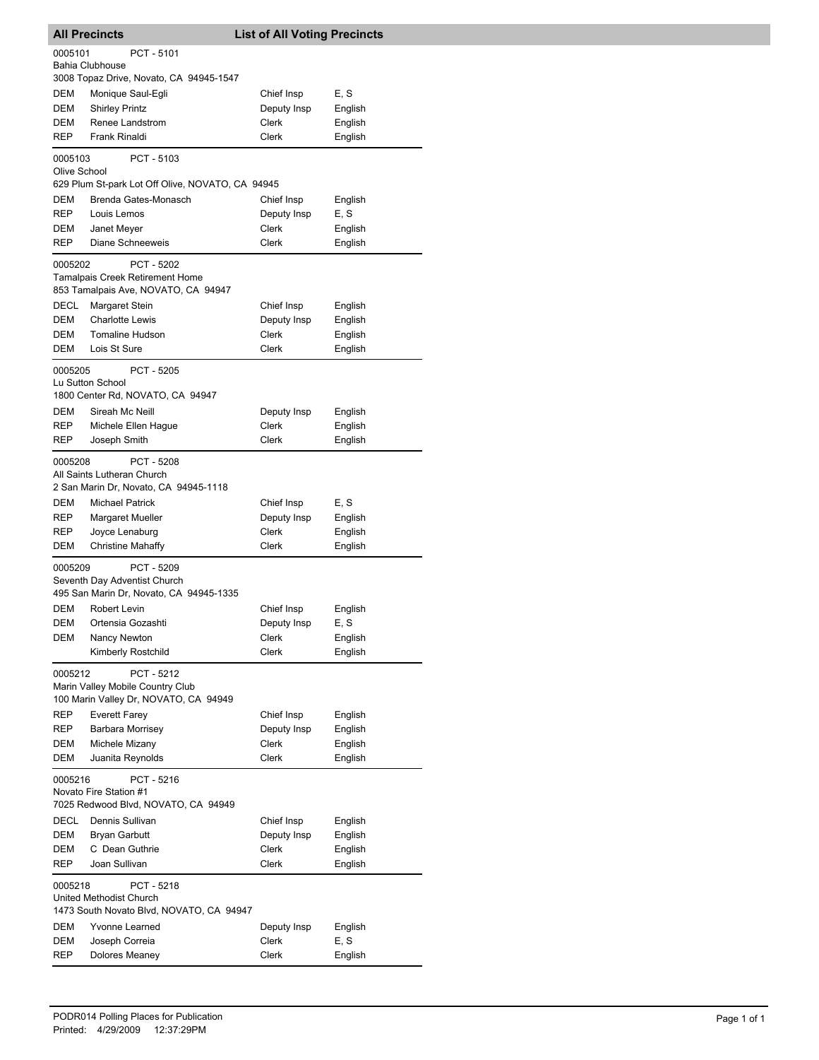| <b>All Precincts</b>                                                                               |                                                  | <b>List of All Voting Precincts</b> |                    |  |  |  |  |
|----------------------------------------------------------------------------------------------------|--------------------------------------------------|-------------------------------------|--------------------|--|--|--|--|
| PCT - 5101<br>0005101<br>Bahia Clubhouse                                                           |                                                  |                                     |                    |  |  |  |  |
|                                                                                                    | 3008 Topaz Drive, Novato, CA 94945-1547          |                                     |                    |  |  |  |  |
| DEM                                                                                                | Monique Saul-Egli                                | Chief Insp                          | E, S               |  |  |  |  |
| DEM                                                                                                | <b>Shirley Printz</b>                            | Deputy Insp                         | English            |  |  |  |  |
| DEM                                                                                                | Renee Landstrom                                  | <b>Clerk</b>                        | English            |  |  |  |  |
| REP                                                                                                | Frank Rinaldi                                    | Clerk                               | English            |  |  |  |  |
| 0005103<br>PCT - 5103<br>Olive School                                                              |                                                  |                                     |                    |  |  |  |  |
|                                                                                                    | 629 Plum St-park Lot Off Olive, NOVATO, CA 94945 |                                     |                    |  |  |  |  |
| DEM                                                                                                | Brenda Gates-Monasch                             | Chief Insp                          | English            |  |  |  |  |
| <b>REP</b>                                                                                         | Louis Lemos                                      | Deputy Insp                         | E, S               |  |  |  |  |
| DEM                                                                                                | Janet Meyer                                      | Clerk                               | English            |  |  |  |  |
| REP                                                                                                | Diane Schneeweis                                 | Clerk                               | English            |  |  |  |  |
| PCT - 5202<br>0005202<br>Tamalpais Creek Retirement Home<br>853 Tamalpais Ave, NOVATO, CA 94947    |                                                  |                                     |                    |  |  |  |  |
| DECL                                                                                               | Margaret Stein                                   | Chief Insp                          |                    |  |  |  |  |
| DEM                                                                                                | <b>Charlotte Lewis</b>                           |                                     | English            |  |  |  |  |
| DEM                                                                                                | Tomaline Hudson                                  | Deputy Insp<br>Clerk                | English<br>English |  |  |  |  |
| DEM                                                                                                | Lois St Sure                                     | <b>Clerk</b>                        | English            |  |  |  |  |
|                                                                                                    |                                                  |                                     |                    |  |  |  |  |
| 0005205<br>PCT - 5205<br>Lu Sutton School<br>1800 Center Rd, NOVATO, CA 94947                      |                                                  |                                     |                    |  |  |  |  |
| DEM                                                                                                | Sireah Mc Neill                                  | Deputy Insp                         | English            |  |  |  |  |
| REP                                                                                                | Michele Ellen Hague                              | Clerk                               | English            |  |  |  |  |
| REP                                                                                                | Joseph Smith                                     | Clerk                               | English            |  |  |  |  |
| PCT - 5208<br>0005208<br>All Saints Lutheran Church<br>2 San Marin Dr, Novato, CA 94945-1118       |                                                  |                                     |                    |  |  |  |  |
| DEM                                                                                                | <b>Michael Patrick</b>                           | Chief Insp                          | E, S               |  |  |  |  |
| REP                                                                                                | Margaret Mueller                                 | Deputy Insp                         | English            |  |  |  |  |
| REP                                                                                                | Joyce Lenaburg                                   | Clerk                               | English            |  |  |  |  |
| DEM                                                                                                | <b>Christine Mahaffy</b>                         | Clerk                               | English            |  |  |  |  |
| 0005209<br>PCT - 5209<br>Seventh Day Adventist Church<br>495 San Marin Dr, Novato, CA 94945-1335   |                                                  |                                     |                    |  |  |  |  |
| DEM                                                                                                | Robert Levin                                     | Chief Insp                          | English            |  |  |  |  |
| DEM                                                                                                | Ortensia Gozashti                                | Deputy Insp                         | E, S               |  |  |  |  |
| <b>DEM</b>                                                                                         | Nancy Newton                                     | Clerk                               | English            |  |  |  |  |
|                                                                                                    | Kimberly Rostchild                               | Clerk                               | English            |  |  |  |  |
| PCT - 5212<br>0005212<br>Marin Valley Mobile Country Club<br>100 Marin Valley Dr, NOVATO, CA 94949 |                                                  |                                     |                    |  |  |  |  |
| REP                                                                                                | <b>Everett Farey</b>                             | Chief Insp                          | English            |  |  |  |  |
| REP                                                                                                | <b>Barbara Morrisey</b>                          | Deputy Insp                         | English            |  |  |  |  |
| DEM                                                                                                | Michele Mizany                                   | <b>Clerk</b>                        | English            |  |  |  |  |
| DEM                                                                                                | Juanita Reynolds                                 | Clerk                               | English            |  |  |  |  |
| 0005216<br>PCT - 5216<br>Novato Fire Station #1<br>7025 Redwood Blvd, NOVATO, CA 94949             |                                                  |                                     |                    |  |  |  |  |
| DECL                                                                                               | Dennis Sullivan                                  | Chief Insp                          | English            |  |  |  |  |
| DEM                                                                                                | <b>Bryan Garbutt</b>                             | Deputy Insp                         | English            |  |  |  |  |
| DEM                                                                                                | C Dean Guthrie                                   | Clerk                               | English            |  |  |  |  |
| REP                                                                                                | Joan Sullivan                                    | Clerk                               | English            |  |  |  |  |
| PCT - 5218<br>0005218<br>United Methodist Church<br>1473 South Novato Blvd, NOVATO, CA 94947       |                                                  |                                     |                    |  |  |  |  |
| DEM                                                                                                | Yvonne Learned                                   | Deputy Insp                         | English            |  |  |  |  |
| <b>DEM</b>                                                                                         | Joseph Correia                                   | Clerk                               | E, S               |  |  |  |  |
| REP                                                                                                | Dolores Meaney                                   | Clerk                               | English            |  |  |  |  |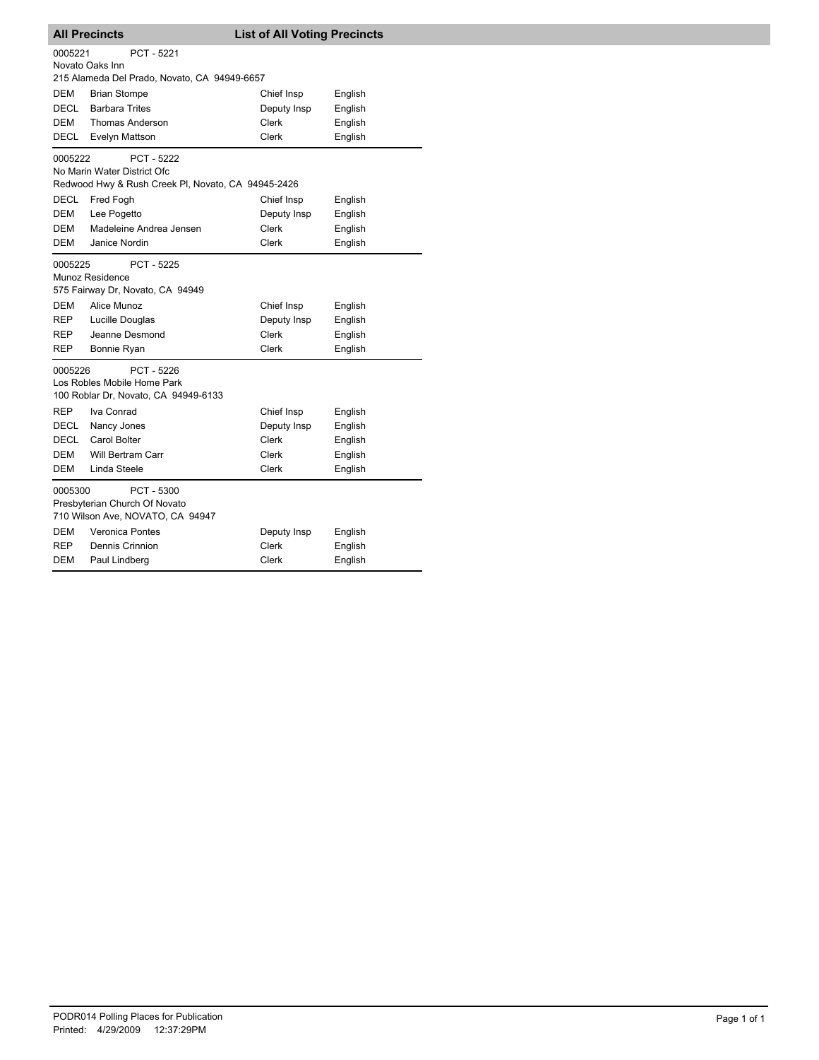| <b>All Precincts</b>                       |                                                                                                                                      |                                             | <b>List of All Voting Precincts</b>      |  |
|--------------------------------------------|--------------------------------------------------------------------------------------------------------------------------------------|---------------------------------------------|------------------------------------------|--|
| 0005221                                    | PCT - 5221<br>Novato Oaks Inn<br>215 Alameda Del Prado, Novato, CA 94949-6657                                                        |                                             |                                          |  |
| <b>DEM</b>                                 | <b>Brian Stompe</b>                                                                                                                  | Chief Insp                                  | English                                  |  |
| <b>DECL</b>                                | <b>Barbara Trites</b>                                                                                                                | Deputy Insp                                 | English                                  |  |
| <b>DEM</b>                                 | <b>Thomas Anderson</b>                                                                                                               | Clerk                                       | English                                  |  |
| DECL                                       | Evelyn Mattson                                                                                                                       | Clerk                                       | English                                  |  |
| 0005222                                    | PCT - 5222<br>No Marin Water District Ofc<br>Redwood Hwy & Rush Creek PI, Novato, CA 94945-2426                                      |                                             |                                          |  |
| <b>DECL</b>                                | Fred Fogh                                                                                                                            | Chief Insp                                  | English                                  |  |
| DEM                                        | Lee Pogetto                                                                                                                          | Deputy Insp                                 | English                                  |  |
| DEM                                        | Madeleine Andrea Jensen                                                                                                              | Clerk                                       | English                                  |  |
| <b>DEM</b>                                 | Janice Nordin                                                                                                                        | Clerk                                       | English                                  |  |
| 0005225<br>DEM<br>REP<br>REP<br><b>REP</b> | PCT - 5225<br>Munoz Residence<br>575 Fairway Dr, Novato, CA 94949<br>Alice Munoz<br>Lucille Douglas<br>Jeanne Desmond<br>Bonnie Ryan | Chief Insp<br>Deputy Insp<br>Clerk<br>Clerk | English<br>English<br>English<br>English |  |
| 0005226                                    | PCT - 5226<br>Los Robles Mobile Home Park<br>100 Roblar Dr, Novato, CA 94949-6133                                                    |                                             |                                          |  |
| <b>REP</b>                                 | Iva Conrad                                                                                                                           | Chief Insp                                  | English                                  |  |
| DECL                                       | Nancy Jones                                                                                                                          | Deputy Insp                                 | English                                  |  |
| DECL                                       | Carol Bolter                                                                                                                         | Clerk                                       | English                                  |  |
| DEM                                        | <b>Will Bertram Carr</b>                                                                                                             | Clerk                                       | English                                  |  |
| DEM                                        | Linda Steele                                                                                                                         | Clerk                                       | English                                  |  |
| 0005300                                    | PCT - 5300<br>Presbyterian Church Of Novato<br>710 Wilson Ave, NOVATO, CA 94947                                                      |                                             |                                          |  |
| DEM                                        | <b>Veronica Pontes</b>                                                                                                               | Deputy Insp                                 | English                                  |  |
| <b>REP</b>                                 | Dennis Crinnion                                                                                                                      | <b>Clerk</b>                                | English                                  |  |
| DEM                                        | Paul Lindberg                                                                                                                        | Clerk                                       | English                                  |  |